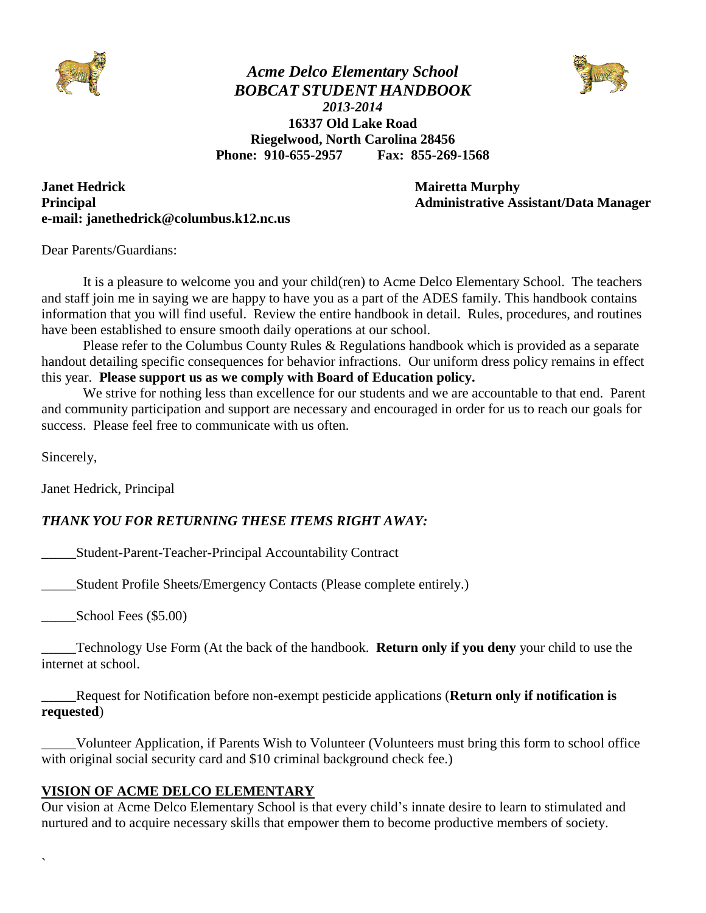

*Acme Delco Elementary School BOBCAT STUDENT HANDBOOK 2013-2014* **16337 Old Lake Road Riegelwood, North Carolina 28456 Phone: 910-655-2957 Fax: 855-269-1568**



**Janet Hedrick Community Community Community Community Community Community Community Community Community Community Community Community Community Community Community Community Community Community Community Community Communi Principal Administrative Assistant/Data Manager e-mail: janethedrick@columbus.k12.nc.us**

Dear Parents/Guardians:

It is a pleasure to welcome you and your child(ren) to Acme Delco Elementary School. The teachers and staff join me in saying we are happy to have you as a part of the ADES family. This handbook contains information that you will find useful. Review the entire handbook in detail. Rules, procedures, and routines have been established to ensure smooth daily operations at our school.

Please refer to the Columbus County Rules & Regulations handbook which is provided as a separate handout detailing specific consequences for behavior infractions. Our uniform dress policy remains in effect this year. **Please support us as we comply with Board of Education policy.**

We strive for nothing less than excellence for our students and we are accountable to that end. Parent and community participation and support are necessary and encouraged in order for us to reach our goals for success. Please feel free to communicate with us often.

Sincerely,

`

Janet Hedrick, Principal

#### *THANK YOU FOR RETURNING THESE ITEMS RIGHT AWAY:*

\_\_\_\_\_Student-Parent-Teacher-Principal Accountability Contract

\_\_\_\_\_Student Profile Sheets/Emergency Contacts (Please complete entirely.)

School Fees (\$5.00)

\_\_\_\_\_Technology Use Form (At the back of the handbook. **Return only if you deny** your child to use the internet at school.

\_\_\_\_\_Request for Notification before non-exempt pesticide applications (**Return only if notification is requested**)

\_\_\_\_\_Volunteer Application, if Parents Wish to Volunteer (Volunteers must bring this form to school office with original social security card and \$10 criminal background check fee.)

#### **VISION OF ACME DELCO ELEMENTARY**

Our vision at Acme Delco Elementary School is that every child's innate desire to learn to stimulated and nurtured and to acquire necessary skills that empower them to become productive members of society.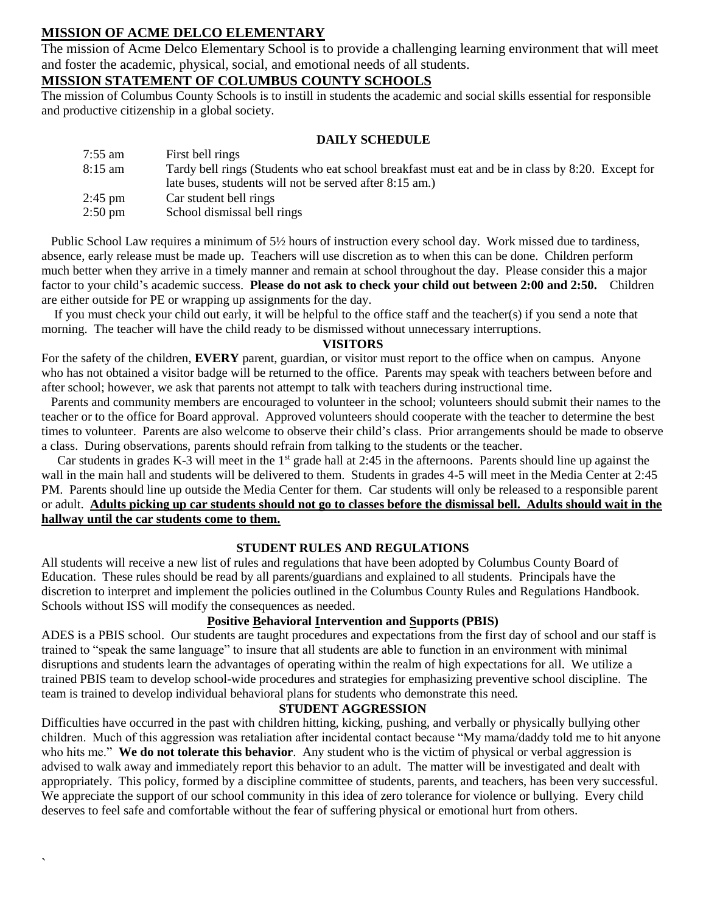#### **MISSION OF ACME DELCO ELEMENTARY**

`

The mission of Acme Delco Elementary School is to provide a challenging learning environment that will meet and foster the academic, physical, social, and emotional needs of all students.

#### **MISSION STATEMENT OF COLUMBUS COUNTY SCHOOLS**

The mission of Columbus County Schools is to instill in students the academic and social skills essential for responsible and productive citizenship in a global society.

#### **DAILY SCHEDULE**

| 7:55 am | First bell rings                                                                                 |
|---------|--------------------------------------------------------------------------------------------------|
| 8:15 am | Tardy bell rings (Students who eat school breakfast must eat and be in class by 8:20. Except for |
|         | late buses, students will not be served after 8:15 am.)                                          |
| 2:45 pm | Car student bell rings                                                                           |
| 2:50 pm | School dismissal bell rings                                                                      |
|         |                                                                                                  |

 Public School Law requires a minimum of 5½ hours of instruction every school day. Work missed due to tardiness, absence, early release must be made up. Teachers will use discretion as to when this can be done. Children perform much better when they arrive in a timely manner and remain at school throughout the day. Please consider this a major factor to your child's academic success. **Please do not ask to check your child out between 2:00 and 2:50.** Children are either outside for PE or wrapping up assignments for the day.

 If you must check your child out early, it will be helpful to the office staff and the teacher(s) if you send a note that morning. The teacher will have the child ready to be dismissed without unnecessary interruptions.

#### **VISITORS**

For the safety of the children, **EVERY** parent, guardian, or visitor must report to the office when on campus. Anyone who has not obtained a visitor badge will be returned to the office. Parents may speak with teachers between before and after school; however, we ask that parents not attempt to talk with teachers during instructional time.

 Parents and community members are encouraged to volunteer in the school; volunteers should submit their names to the teacher or to the office for Board approval. Approved volunteers should cooperate with the teacher to determine the best times to volunteer. Parents are also welcome to observe their child's class. Prior arrangements should be made to observe a class. During observations, parents should refrain from talking to the students or the teacher.

Car students in grades K-3 will meet in the  $1<sup>st</sup>$  grade hall at 2:45 in the afternoons. Parents should line up against the wall in the main hall and students will be delivered to them. Students in grades 4-5 will meet in the Media Center at 2:45 PM. Parents should line up outside the Media Center for them. Car students will only be released to a responsible parent or adult. **Adults picking up car students should not go to classes before the dismissal bell. Adults should wait in the hallway until the car students come to them.**

#### **STUDENT RULES AND REGULATIONS**

All students will receive a new list of rules and regulations that have been adopted by Columbus County Board of Education. These rules should be read by all parents/guardians and explained to all students. Principals have the discretion to interpret and implement the policies outlined in the Columbus County Rules and Regulations Handbook. Schools without ISS will modify the consequences as needed.

#### **Positive Behavioral Intervention and Supports (PBIS)**

ADES is a PBIS school. Our students are taught procedures and expectations from the first day of school and our staff is trained to "speak the same language" to insure that all students are able to function in an environment with minimal disruptions and students learn the advantages of operating within the realm of high expectations for all. We utilize a trained PBIS team to develop school-wide procedures and strategies for emphasizing preventive school discipline. The team is trained to develop individual behavioral plans for students who demonstrate this need.

#### **STUDENT AGGRESSION**

Difficulties have occurred in the past with children hitting, kicking, pushing, and verbally or physically bullying other children. Much of this aggression was retaliation after incidental contact because "My mama/daddy told me to hit anyone who hits me." We do not tolerate this behavior. Any student who is the victim of physical or verbal aggression is advised to walk away and immediately report this behavior to an adult. The matter will be investigated and dealt with appropriately. This policy, formed by a discipline committee of students, parents, and teachers, has been very successful. We appreciate the support of our school community in this idea of zero tolerance for violence or bullying. Every child deserves to feel safe and comfortable without the fear of suffering physical or emotional hurt from others.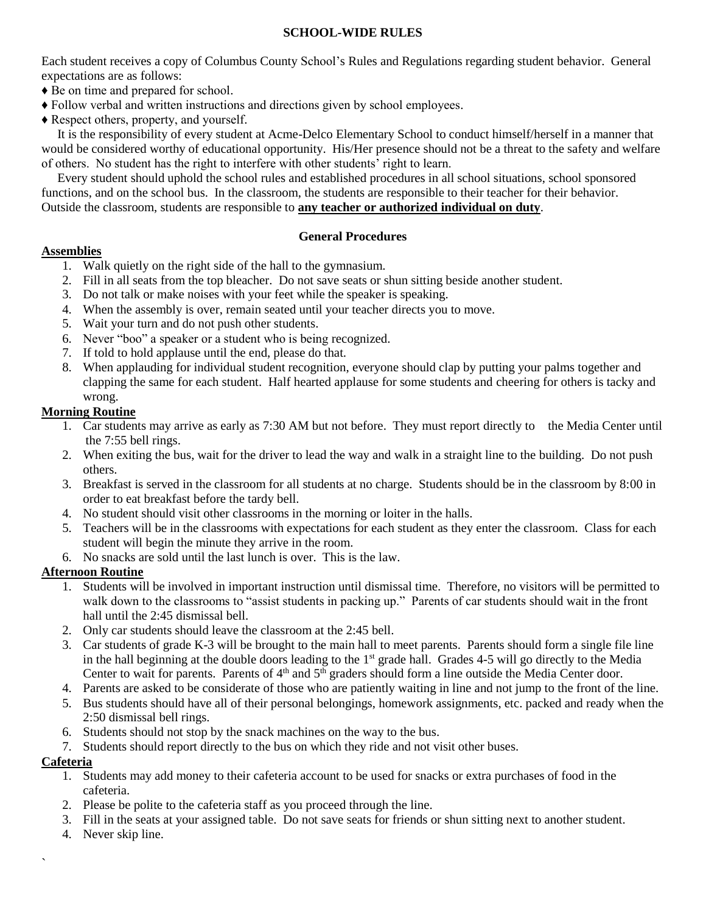#### **SCHOOL-WIDE RULES**

Each student receives a copy of Columbus County School's Rules and Regulations regarding student behavior. General expectations are as follows:

- ♦ Be on time and prepared for school.
- ♦ Follow verbal and written instructions and directions given by school employees.
- ♦ Respect others, property, and yourself.

 It is the responsibility of every student at Acme-Delco Elementary School to conduct himself/herself in a manner that would be considered worthy of educational opportunity. His/Her presence should not be a threat to the safety and welfare of others. No student has the right to interfere with other students' right to learn.

 Every student should uphold the school rules and established procedures in all school situations, school sponsored functions, and on the school bus. In the classroom, the students are responsible to their teacher for their behavior. Outside the classroom, students are responsible to **any teacher or authorized individual on duty**.

#### **General Procedures**

#### **Assemblies**

- 1. Walk quietly on the right side of the hall to the gymnasium.
- 2. Fill in all seats from the top bleacher. Do not save seats or shun sitting beside another student.
- 3. Do not talk or make noises with your feet while the speaker is speaking.
- 4. When the assembly is over, remain seated until your teacher directs you to move.
- 5. Wait your turn and do not push other students.
- 6. Never "boo" a speaker or a student who is being recognized.
- 7. If told to hold applause until the end, please do that.
- 8. When applauding for individual student recognition, everyone should clap by putting your palms together and clapping the same for each student. Half hearted applause for some students and cheering for others is tacky and wrong.

#### **Morning Routine**

- 1. Car students may arrive as early as 7:30 AM but not before. They must report directly to the Media Center until the 7:55 bell rings.
- 2. When exiting the bus, wait for the driver to lead the way and walk in a straight line to the building. Do not push others.
- 3. Breakfast is served in the classroom for all students at no charge. Students should be in the classroom by 8:00 in order to eat breakfast before the tardy bell.
- 4. No student should visit other classrooms in the morning or loiter in the halls.
- 5. Teachers will be in the classrooms with expectations for each student as they enter the classroom. Class for each student will begin the minute they arrive in the room.
- 6. No snacks are sold until the last lunch is over. This is the law.

#### **Afternoon Routine**

- 1. Students will be involved in important instruction until dismissal time. Therefore, no visitors will be permitted to walk down to the classrooms to "assist students in packing up." Parents of car students should wait in the front hall until the 2:45 dismissal bell.
- 2. Only car students should leave the classroom at the 2:45 bell.
- 3. Car students of grade K-3 will be brought to the main hall to meet parents. Parents should form a single file line in the hall beginning at the double doors leading to the 1<sup>st</sup> grade hall. Grades 4-5 will go directly to the Media Center to wait for parents. Parents of  $4<sup>th</sup>$  and  $5<sup>th</sup>$  graders should form a line outside the Media Center door.
- 4. Parents are asked to be considerate of those who are patiently waiting in line and not jump to the front of the line.
- 5. Bus students should have all of their personal belongings, homework assignments, etc. packed and ready when the 2:50 dismissal bell rings.
- 6. Students should not stop by the snack machines on the way to the bus.
- 7. Students should report directly to the bus on which they ride and not visit other buses.

#### **Cafeteria**

`

- 1. Students may add money to their cafeteria account to be used for snacks or extra purchases of food in the cafeteria.
- 2. Please be polite to the cafeteria staff as you proceed through the line.
- 3. Fill in the seats at your assigned table. Do not save seats for friends or shun sitting next to another student.
- 4. Never skip line.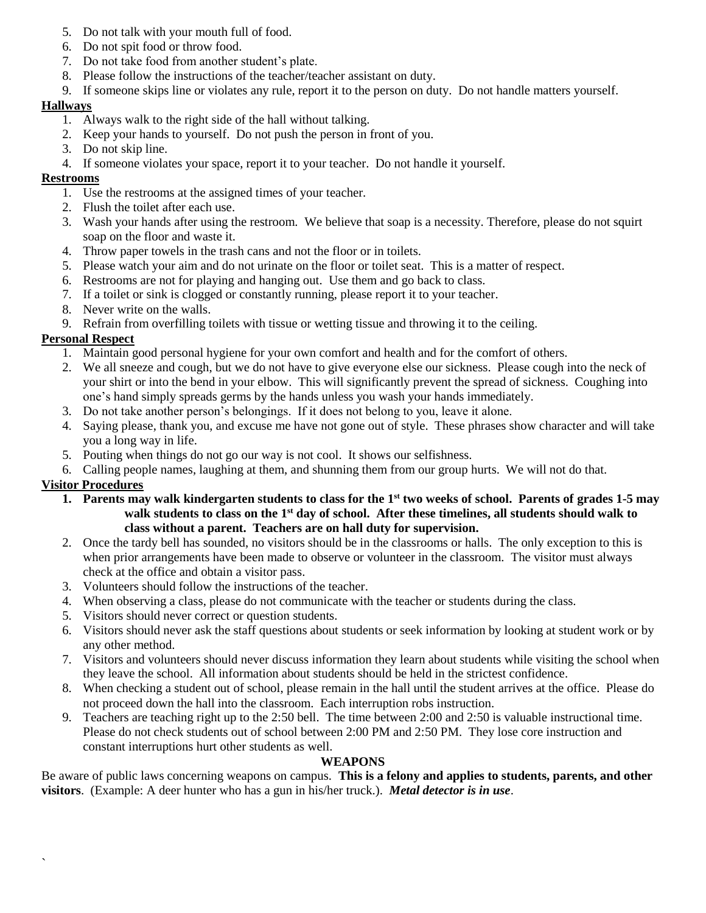- 5. Do not talk with your mouth full of food.
- 6. Do not spit food or throw food.
- 7. Do not take food from another student's plate.
- 8. Please follow the instructions of the teacher/teacher assistant on duty.
- 9. If someone skips line or violates any rule, report it to the person on duty. Do not handle matters yourself.

#### **Hallways**

- 1. Always walk to the right side of the hall without talking.
- 2. Keep your hands to yourself. Do not push the person in front of you.
- 3. Do not skip line.
- 4. If someone violates your space, report it to your teacher. Do not handle it yourself.

#### **Restrooms**

- 1. Use the restrooms at the assigned times of your teacher.
- 2. Flush the toilet after each use.
- 3. Wash your hands after using the restroom. We believe that soap is a necessity. Therefore, please do not squirt soap on the floor and waste it.
- 4. Throw paper towels in the trash cans and not the floor or in toilets.
- 5. Please watch your aim and do not urinate on the floor or toilet seat. This is a matter of respect.
- 6. Restrooms are not for playing and hanging out. Use them and go back to class.
- 7. If a toilet or sink is clogged or constantly running, please report it to your teacher.
- 8. Never write on the walls.
- 9. Refrain from overfilling toilets with tissue or wetting tissue and throwing it to the ceiling.

#### **Personal Respect**

- 1. Maintain good personal hygiene for your own comfort and health and for the comfort of others.
- 2. We all sneeze and cough, but we do not have to give everyone else our sickness. Please cough into the neck of your shirt or into the bend in your elbow. This will significantly prevent the spread of sickness. Coughing into one's hand simply spreads germs by the hands unless you wash your hands immediately.
- 3. Do not take another person's belongings. If it does not belong to you, leave it alone.
- 4. Saying please, thank you, and excuse me have not gone out of style. These phrases show character and will take you a long way in life.
- 5. Pouting when things do not go our way is not cool. It shows our selfishness.
- 6. Calling people names, laughing at them, and shunning them from our group hurts. We will not do that.

## **Visitor Procedures**

`

- **1. Parents may walk kindergarten students to class for the 1st two weeks of school. Parents of grades 1-5 may walk students to class on the 1st day of school. After these timelines, all students should walk to class without a parent. Teachers are on hall duty for supervision.**
- 2. Once the tardy bell has sounded, no visitors should be in the classrooms or halls. The only exception to this is when prior arrangements have been made to observe or volunteer in the classroom. The visitor must always check at the office and obtain a visitor pass.
- 3. Volunteers should follow the instructions of the teacher.
- 4. When observing a class, please do not communicate with the teacher or students during the class.
- 5. Visitors should never correct or question students.
- 6. Visitors should never ask the staff questions about students or seek information by looking at student work or by any other method.
- 7. Visitors and volunteers should never discuss information they learn about students while visiting the school when they leave the school. All information about students should be held in the strictest confidence.
- 8. When checking a student out of school, please remain in the hall until the student arrives at the office. Please do not proceed down the hall into the classroom. Each interruption robs instruction.
- 9. Teachers are teaching right up to the 2:50 bell. The time between 2:00 and 2:50 is valuable instructional time. Please do not check students out of school between 2:00 PM and 2:50 PM. They lose core instruction and constant interruptions hurt other students as well.

#### **WEAPONS**

Be aware of public laws concerning weapons on campus. **This is a felony and applies to students, parents, and other visitors**. (Example: A deer hunter who has a gun in his/her truck.). *Metal detector is in use*.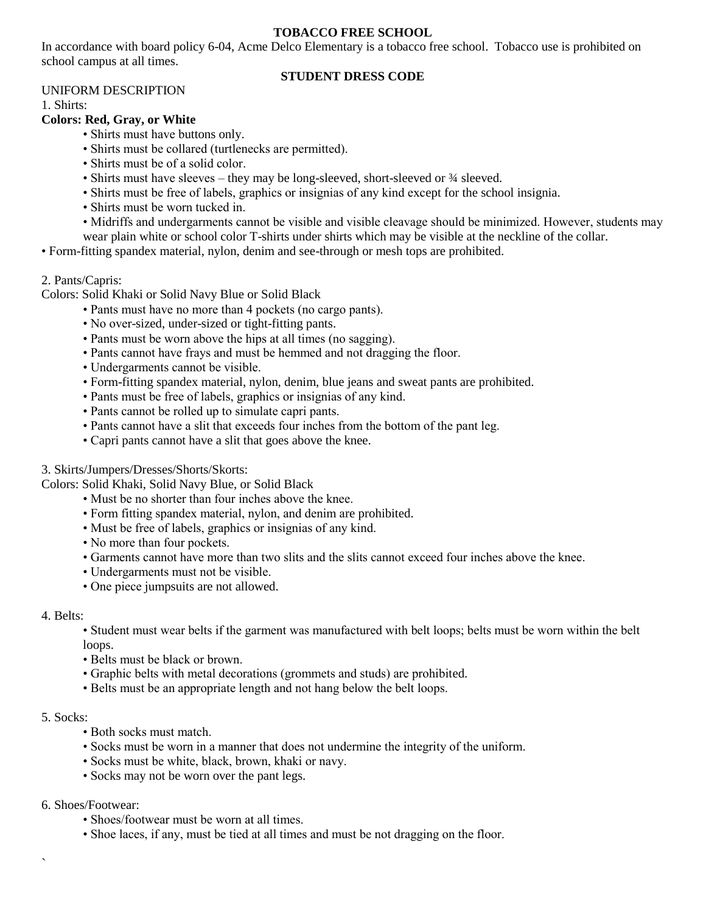#### **TOBACCO FREE SCHOOL**

In accordance with board policy 6-04, Acme Delco Elementary is a tobacco free school. Tobacco use is prohibited on school campus at all times.

#### **STUDENT DRESS CODE**

#### UNIFORM DESCRIPTION

1. Shirts:

#### **Colors: Red, Gray, or White**

- Shirts must have buttons only.
- Shirts must be collared (turtlenecks are permitted).
- Shirts must be of a solid color.
- Shirts must have sleeves they may be long-sleeved, short-sleeved or  $\frac{3}{4}$  sleeved.
- Shirts must be free of labels, graphics or insignias of any kind except for the school insignia.
- Shirts must be worn tucked in.
- Midriffs and undergarments cannot be visible and visible cleavage should be minimized. However, students may wear plain white or school color T-shirts under shirts which may be visible at the neckline of the collar.
- Form-fitting spandex material, nylon, denim and see-through or mesh tops are prohibited.

#### 2. Pants/Capris:

Colors: Solid Khaki or Solid Navy Blue or Solid Black

- Pants must have no more than 4 pockets (no cargo pants).
- No over-sized, under-sized or tight-fitting pants.
- Pants must be worn above the hips at all times (no sagging).
- Pants cannot have frays and must be hemmed and not dragging the floor.
- Undergarments cannot be visible.
- Form-fitting spandex material, nylon, denim, blue jeans and sweat pants are prohibited.
- Pants must be free of labels, graphics or insignias of any kind.
- Pants cannot be rolled up to simulate capri pants.
- Pants cannot have a slit that exceeds four inches from the bottom of the pant leg.
- Capri pants cannot have a slit that goes above the knee.

#### 3. Skirts/Jumpers/Dresses/Shorts/Skorts:

Colors: Solid Khaki, Solid Navy Blue, or Solid Black

- Must be no shorter than four inches above the knee.
- Form fitting spandex material, nylon, and denim are prohibited.
- Must be free of labels, graphics or insignias of any kind.
- No more than four pockets.
- Garments cannot have more than two slits and the slits cannot exceed four inches above the knee.
- Undergarments must not be visible.
- One piece jumpsuits are not allowed.

#### 4. Belts:

• Student must wear belts if the garment was manufactured with belt loops; belts must be worn within the belt loops.

- Belts must be black or brown.
- Graphic belts with metal decorations (grommets and studs) are prohibited.
- Belts must be an appropriate length and not hang below the belt loops.

#### 5. Socks:

 $\overline{\phantom{a}}$ 

- Both socks must match.
- Socks must be worn in a manner that does not undermine the integrity of the uniform.
- Socks must be white, black, brown, khaki or navy.
- Socks may not be worn over the pant legs.
- 6. Shoes/Footwear:
	- Shoes/footwear must be worn at all times.
	- Shoe laces, if any, must be tied at all times and must be not dragging on the floor.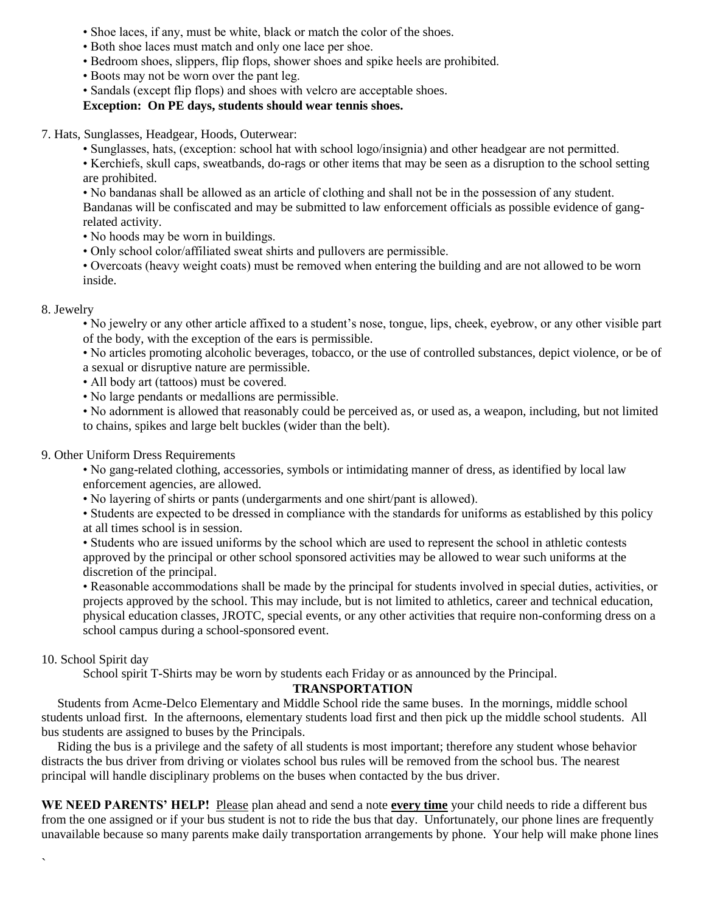- Shoe laces, if any, must be white, black or match the color of the shoes.
- Both shoe laces must match and only one lace per shoe.
- Bedroom shoes, slippers, flip flops, shower shoes and spike heels are prohibited.
- Boots may not be worn over the pant leg.
- Sandals (except flip flops) and shoes with velcro are acceptable shoes.

#### **Exception: On PE days, students should wear tennis shoes.**

7. Hats, Sunglasses, Headgear, Hoods, Outerwear:

• Sunglasses, hats, (exception: school hat with school logo/insignia) and other headgear are not permitted.

• Kerchiefs, skull caps, sweatbands, do-rags or other items that may be seen as a disruption to the school setting are prohibited.

• No bandanas shall be allowed as an article of clothing and shall not be in the possession of any student. Bandanas will be confiscated and may be submitted to law enforcement officials as possible evidence of gangrelated activity.

- No hoods may be worn in buildings.
- Only school color/affiliated sweat shirts and pullovers are permissible.

• Overcoats (heavy weight coats) must be removed when entering the building and are not allowed to be worn inside.

#### 8. Jewelry

• No jewelry or any other article affixed to a student's nose, tongue, lips, cheek, eyebrow, or any other visible part of the body, with the exception of the ears is permissible.

• No articles promoting alcoholic beverages, tobacco, or the use of controlled substances, depict violence, or be of a sexual or disruptive nature are permissible.

- All body art (tattoos) must be covered.
- No large pendants or medallions are permissible.

• No adornment is allowed that reasonably could be perceived as, or used as, a weapon, including, but not limited to chains, spikes and large belt buckles (wider than the belt).

#### 9. Other Uniform Dress Requirements

• No gang-related clothing, accessories, symbols or intimidating manner of dress, as identified by local law enforcement agencies, are allowed.

• No layering of shirts or pants (undergarments and one shirt/pant is allowed).

• Students are expected to be dressed in compliance with the standards for uniforms as established by this policy at all times school is in session.

• Students who are issued uniforms by the school which are used to represent the school in athletic contests approved by the principal or other school sponsored activities may be allowed to wear such uniforms at the discretion of the principal.

• Reasonable accommodations shall be made by the principal for students involved in special duties, activities, or projects approved by the school. This may include, but is not limited to athletics, career and technical education, physical education classes, JROTC, special events, or any other activities that require non-conforming dress on a school campus during a school-sponsored event.

#### 10. School Spirit day

`

School spirit T-Shirts may be worn by students each Friday or as announced by the Principal.

#### **TRANSPORTATION**

 Students from Acme-Delco Elementary and Middle School ride the same buses. In the mornings, middle school students unload first. In the afternoons, elementary students load first and then pick up the middle school students. All bus students are assigned to buses by the Principals.

 Riding the bus is a privilege and the safety of all students is most important; therefore any student whose behavior distracts the bus driver from driving or violates school bus rules will be removed from the school bus. The nearest principal will handle disciplinary problems on the buses when contacted by the bus driver.

WE NEED PARENTS' HELP! Please plan ahead and send a note **every time** your child needs to ride a different bus from the one assigned or if your bus student is not to ride the bus that day. Unfortunately, our phone lines are frequently unavailable because so many parents make daily transportation arrangements by phone. Your help will make phone lines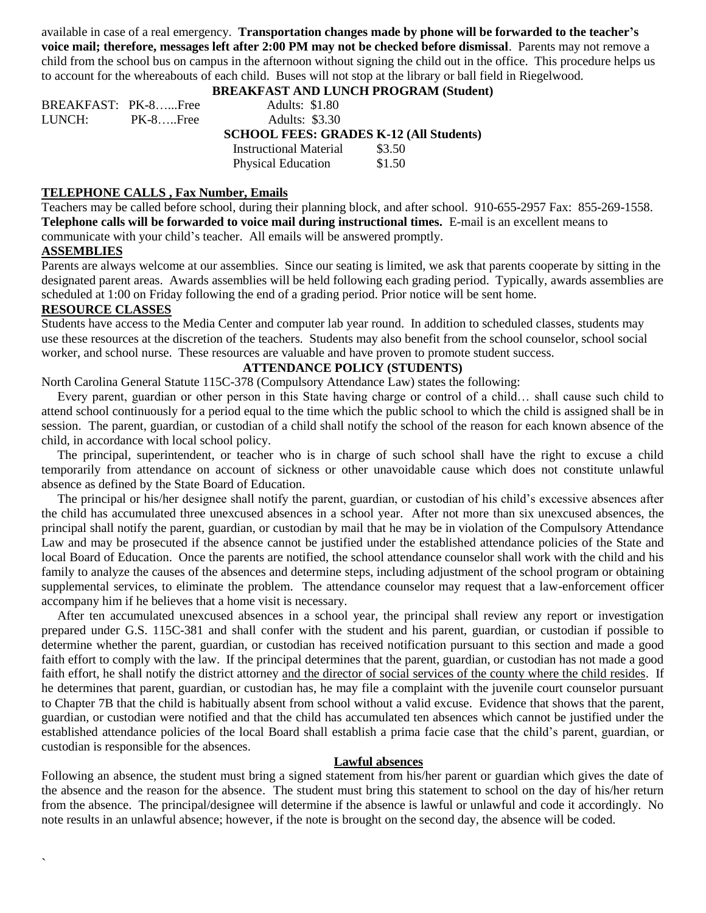available in case of a real emergency. **Transportation changes made by phone will be forwarded to the teacher's voice mail; therefore, messages left after 2:00 PM may not be checked before dismissal**. Parents may not remove a child from the school bus on campus in the afternoon without signing the child out in the office. This procedure helps us to account for the whereabouts of each child. Buses will not stop at the library or ball field in Riegelwood.

#### **BREAKFAST AND LUNCH PROGRAM (Student)**

| BREAKFAST: PK-8Free |             | <b>Adults: \$1.80</b>                          |      |
|---------------------|-------------|------------------------------------------------|------|
| LUNCH: \            | $PK-8$ Free | <b>Adults: \$3.30</b>                          |      |
|                     |             | <b>SCHOOL FEES: GRADES K-12 (All Students)</b> |      |
|                     |             | Instructional Material                         | 0250 |

 Instructional Material \$3.50 Physical Education \$1.50

#### **TELEPHONE CALLS , Fax Number, Emails**

Teachers may be called before school, during their planning block, and after school. 910-655-2957 Fax: 855-269-1558. **Telephone calls will be forwarded to voice mail during instructional times.** E-mail is an excellent means to communicate with your child's teacher. All emails will be answered promptly.

#### **ASSEMBLIES**

`

Parents are always welcome at our assemblies. Since our seating is limited, we ask that parents cooperate by sitting in the designated parent areas. Awards assemblies will be held following each grading period. Typically, awards assemblies are scheduled at 1:00 on Friday following the end of a grading period. Prior notice will be sent home.

#### **RESOURCE CLASSES**

Students have access to the Media Center and computer lab year round. In addition to scheduled classes, students may use these resources at the discretion of the teachers. Students may also benefit from the school counselor, school social worker, and school nurse. These resources are valuable and have proven to promote student success.

#### **ATTENDANCE POLICY (STUDENTS)**

North Carolina General Statute 115C-378 (Compulsory Attendance Law) states the following:

 Every parent, guardian or other person in this State having charge or control of a child… shall cause such child to attend school continuously for a period equal to the time which the public school to which the child is assigned shall be in session. The parent, guardian, or custodian of a child shall notify the school of the reason for each known absence of the child, in accordance with local school policy.

 The principal, superintendent, or teacher who is in charge of such school shall have the right to excuse a child temporarily from attendance on account of sickness or other unavoidable cause which does not constitute unlawful absence as defined by the State Board of Education.

 The principal or his/her designee shall notify the parent, guardian, or custodian of his child's excessive absences after the child has accumulated three unexcused absences in a school year. After not more than six unexcused absences, the principal shall notify the parent, guardian, or custodian by mail that he may be in violation of the Compulsory Attendance Law and may be prosecuted if the absence cannot be justified under the established attendance policies of the State and local Board of Education. Once the parents are notified, the school attendance counselor shall work with the child and his family to analyze the causes of the absences and determine steps, including adjustment of the school program or obtaining supplemental services, to eliminate the problem. The attendance counselor may request that a law-enforcement officer accompany him if he believes that a home visit is necessary.

 After ten accumulated unexcused absences in a school year, the principal shall review any report or investigation prepared under G.S. 115C-381 and shall confer with the student and his parent, guardian, or custodian if possible to determine whether the parent, guardian, or custodian has received notification pursuant to this section and made a good faith effort to comply with the law. If the principal determines that the parent, guardian, or custodian has not made a good faith effort, he shall notify the district attorney and the director of social services of the county where the child resides. If he determines that parent, guardian, or custodian has, he may file a complaint with the juvenile court counselor pursuant to Chapter 7B that the child is habitually absent from school without a valid excuse. Evidence that shows that the parent, guardian, or custodian were notified and that the child has accumulated ten absences which cannot be justified under the established attendance policies of the local Board shall establish a prima facie case that the child's parent, guardian, or custodian is responsible for the absences.

#### **Lawful absences**

Following an absence, the student must bring a signed statement from his/her parent or guardian which gives the date of the absence and the reason for the absence. The student must bring this statement to school on the day of his/her return from the absence. The principal/designee will determine if the absence is lawful or unlawful and code it accordingly. No note results in an unlawful absence; however, if the note is brought on the second day, the absence will be coded.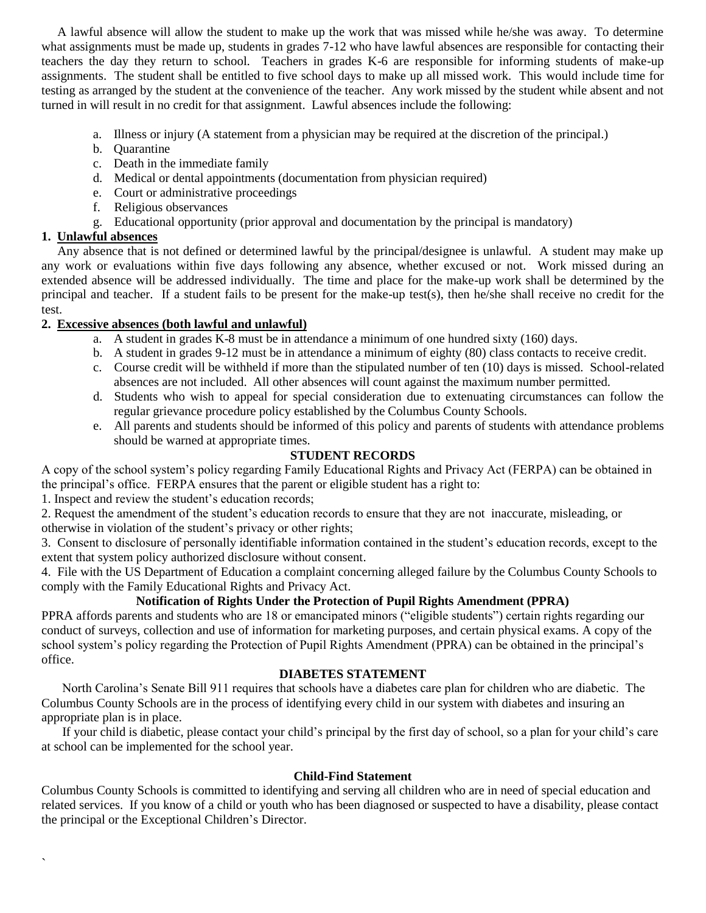A lawful absence will allow the student to make up the work that was missed while he/she was away. To determine what assignments must be made up, students in grades 7-12 who have lawful absences are responsible for contacting their teachers the day they return to school. Teachers in grades K-6 are responsible for informing students of make-up assignments. The student shall be entitled to five school days to make up all missed work. This would include time for testing as arranged by the student at the convenience of the teacher. Any work missed by the student while absent and not turned in will result in no credit for that assignment. Lawful absences include the following:

- a. Illness or injury (A statement from a physician may be required at the discretion of the principal.)
- b. Quarantine
- c. Death in the immediate family
- d. Medical or dental appointments (documentation from physician required)
- e. Court or administrative proceedings
- f. Religious observances
- g. Educational opportunity (prior approval and documentation by the principal is mandatory)

#### **1. Unlawful absences**

 $\overline{\phantom{a}}$ 

 Any absence that is not defined or determined lawful by the principal/designee is unlawful. A student may make up any work or evaluations within five days following any absence, whether excused or not. Work missed during an extended absence will be addressed individually. The time and place for the make-up work shall be determined by the principal and teacher. If a student fails to be present for the make-up test(s), then he/she shall receive no credit for the test.

#### **2. Excessive absences (both lawful and unlawful)**

- a. A student in grades K-8 must be in attendance a minimum of one hundred sixty (160) days.
- b. A student in grades 9-12 must be in attendance a minimum of eighty (80) class contacts to receive credit.
- c. Course credit will be withheld if more than the stipulated number of ten (10) days is missed. School-related absences are not included. All other absences will count against the maximum number permitted.
- d. Students who wish to appeal for special consideration due to extenuating circumstances can follow the regular grievance procedure policy established by the Columbus County Schools.
- e. All parents and students should be informed of this policy and parents of students with attendance problems should be warned at appropriate times.

#### **STUDENT RECORDS**

A copy of the school system's policy regarding Family Educational Rights and Privacy Act (FERPA) can be obtained in the principal's office. FERPA ensures that the parent or eligible student has a right to:

1. Inspect and review the student's education records;

2. Request the amendment of the student's education records to ensure that they are not inaccurate, misleading, or otherwise in violation of the student's privacy or other rights;

3. Consent to disclosure of personally identifiable information contained in the student's education records, except to the extent that system policy authorized disclosure without consent.

4. File with the US Department of Education a complaint concerning alleged failure by the Columbus County Schools to comply with the Family Educational Rights and Privacy Act.

#### **Notification of Rights Under the Protection of Pupil Rights Amendment (PPRA)**

PPRA affords parents and students who are 18 or emancipated minors ("eligible students") certain rights regarding our conduct of surveys, collection and use of information for marketing purposes, and certain physical exams. A copy of the school system's policy regarding the Protection of Pupil Rights Amendment (PPRA) can be obtained in the principal's office.

#### **DIABETES STATEMENT**

 North Carolina's Senate Bill 911 requires that schools have a diabetes care plan for children who are diabetic. The Columbus County Schools are in the process of identifying every child in our system with diabetes and insuring an appropriate plan is in place.

If your child is diabetic, please contact your child's principal by the first day of school, so a plan for your child's care at school can be implemented for the school year.

#### **Child-Find Statement**

Columbus County Schools is committed to identifying and serving all children who are in need of special education and related services. If you know of a child or youth who has been diagnosed or suspected to have a disability, please contact the principal or the Exceptional Children's Director.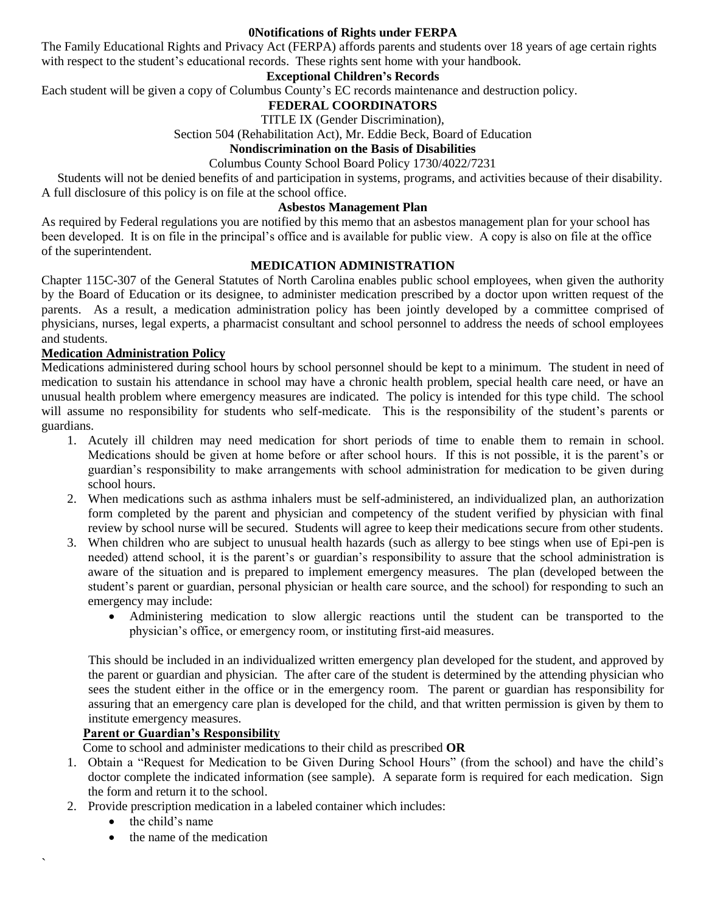#### **0Notifications of Rights under FERPA**

The Family Educational Rights and Privacy Act (FERPA) affords parents and students over 18 years of age certain rights with respect to the student's educational records. These rights sent home with your handbook.

#### **Exceptional Children's Records**

Each student will be given a copy of Columbus County's EC records maintenance and destruction policy.

#### **FEDERAL COORDINATORS**

TITLE IX (Gender Discrimination),

Section 504 (Rehabilitation Act), Mr. Eddie Beck, Board of Education

#### **Nondiscrimination on the Basis of Disabilities**

Columbus County School Board Policy 1730/4022/7231

 Students will not be denied benefits of and participation in systems, programs, and activities because of their disability. A full disclosure of this policy is on file at the school office.

#### **Asbestos Management Plan**

As required by Federal regulations you are notified by this memo that an asbestos management plan for your school has been developed. It is on file in the principal's office and is available for public view. A copy is also on file at the office of the superintendent.

#### **MEDICATION ADMINISTRATION**

Chapter 115C-307 of the General Statutes of North Carolina enables public school employees, when given the authority by the Board of Education or its designee, to administer medication prescribed by a doctor upon written request of the parents. As a result, a medication administration policy has been jointly developed by a committee comprised of physicians, nurses, legal experts, a pharmacist consultant and school personnel to address the needs of school employees and students.

#### **Medication Administration Policy**

Medications administered during school hours by school personnel should be kept to a minimum. The student in need of medication to sustain his attendance in school may have a chronic health problem, special health care need, or have an unusual health problem where emergency measures are indicated. The policy is intended for this type child. The school will assume no responsibility for students who self-medicate. This is the responsibility of the student's parents or guardians.

- 1. Acutely ill children may need medication for short periods of time to enable them to remain in school. Medications should be given at home before or after school hours. If this is not possible, it is the parent's or guardian's responsibility to make arrangements with school administration for medication to be given during school hours.
- 2. When medications such as asthma inhalers must be self-administered, an individualized plan, an authorization form completed by the parent and physician and competency of the student verified by physician with final review by school nurse will be secured. Students will agree to keep their medications secure from other students.
- 3. When children who are subject to unusual health hazards (such as allergy to bee stings when use of Epi-pen is needed) attend school, it is the parent's or guardian's responsibility to assure that the school administration is aware of the situation and is prepared to implement emergency measures. The plan (developed between the student's parent or guardian, personal physician or health care source, and the school) for responding to such an emergency may include:
	- Administering medication to slow allergic reactions until the student can be transported to the physician's office, or emergency room, or instituting first-aid measures.

This should be included in an individualized written emergency plan developed for the student, and approved by the parent or guardian and physician. The after care of the student is determined by the attending physician who sees the student either in the office or in the emergency room. The parent or guardian has responsibility for assuring that an emergency care plan is developed for the child, and that written permission is given by them to institute emergency measures.

#### **Parent or Guardian's Responsibility**

Come to school and administer medications to their child as prescribed **OR**

- 1. Obtain a "Request for Medication to be Given During School Hours" (from the school) and have the child's doctor complete the indicated information (see sample). A separate form is required for each medication. Sign the form and return it to the school.
- 2. Provide prescription medication in a labeled container which includes:
	- $\bullet$  the child's name

`

the name of the medication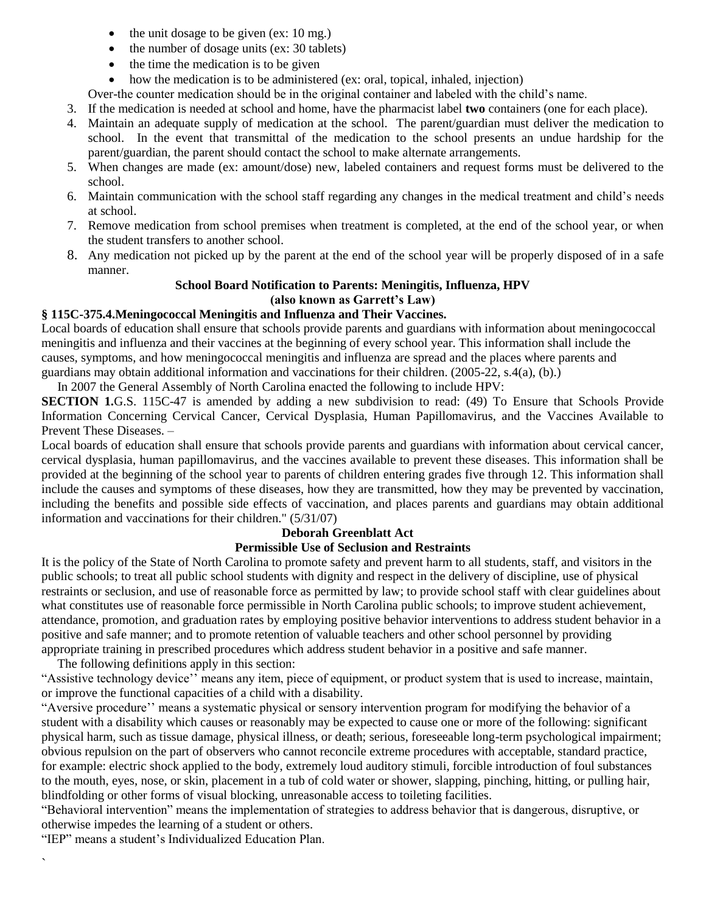- $\bullet$  the unit dosage to be given (ex: 10 mg.)
- the number of dosage units (ex: 30 tablets)
- $\bullet$  the time the medication is to be given
- how the medication is to be administered (ex: oral, topical, inhaled, injection)

Over-the counter medication should be in the original container and labeled with the child's name.

- 3. If the medication is needed at school and home, have the pharmacist label **two** containers (one for each place).
- 4. Maintain an adequate supply of medication at the school. The parent/guardian must deliver the medication to school. In the event that transmittal of the medication to the school presents an undue hardship for the parent/guardian, the parent should contact the school to make alternate arrangements.
- 5. When changes are made (ex: amount/dose) new, labeled containers and request forms must be delivered to the school.
- 6. Maintain communication with the school staff regarding any changes in the medical treatment and child's needs at school.
- 7. Remove medication from school premises when treatment is completed, at the end of the school year, or when the student transfers to another school.
- 8. Any medication not picked up by the parent at the end of the school year will be properly disposed of in a safe manner.

#### **School Board Notification to Parents: Meningitis, Influenza, HPV (also known as Garrett's Law)**

#### **§ 115C-375.4.Meningococcal Meningitis and Influenza and Their Vaccines.**

Local boards of education shall ensure that schools provide parents and guardians with information about meningococcal meningitis and influenza and their vaccines at the beginning of every school year. This information shall include the causes, symptoms, and how meningococcal meningitis and influenza are spread and the places where parents and guardians may obtain additional information and vaccinations for their children. (2005-22, s.4(a), (b).)

In 2007 the General Assembly of North Carolina enacted the following to include HPV:

**SECTION 1.G.S.** 115C-47 is amended by adding a new subdivision to read: (49) To Ensure that Schools Provide Information Concerning Cervical Cancer, Cervical Dysplasia, Human Papillomavirus, and the Vaccines Available to Prevent These Diseases. –

Local boards of education shall ensure that schools provide parents and guardians with information about cervical cancer, cervical dysplasia, human papillomavirus, and the vaccines available to prevent these diseases. This information shall be provided at the beginning of the school year to parents of children entering grades five through 12. This information shall include the causes and symptoms of these diseases, how they are transmitted, how they may be prevented by vaccination, including the benefits and possible side effects of vaccination, and places parents and guardians may obtain additional information and vaccinations for their children." (5/31/07)

## **Deborah Greenblatt Act**

#### **Permissible Use of Seclusion and Restraints**

It is the policy of the State of North Carolina to promote safety and prevent harm to all students, staff, and visitors in the public schools; to treat all public school students with dignity and respect in the delivery of discipline, use of physical restraints or seclusion, and use of reasonable force as permitted by law; to provide school staff with clear guidelines about what constitutes use of reasonable force permissible in North Carolina public schools; to improve student achievement, attendance, promotion, and graduation rates by employing positive behavior interventions to address student behavior in a positive and safe manner; and to promote retention of valuable teachers and other school personnel by providing appropriate training in prescribed procedures which address student behavior in a positive and safe manner.

The following definitions apply in this section:

"Assistive technology device'' means any item, piece of equipment, or product system that is used to increase, maintain, or improve the functional capacities of a child with a disability.

"Aversive procedure'' means a systematic physical or sensory intervention program for modifying the behavior of a student with a disability which causes or reasonably may be expected to cause one or more of the following: significant physical harm, such as tissue damage, physical illness, or death; serious, foreseeable long-term psychological impairment; obvious repulsion on the part of observers who cannot reconcile extreme procedures with acceptable, standard practice, for example: electric shock applied to the body, extremely loud auditory stimuli, forcible introduction of foul substances to the mouth, eyes, nose, or skin, placement in a tub of cold water or shower, slapping, pinching, hitting, or pulling hair, blindfolding or other forms of visual blocking, unreasonable access to toileting facilities.

"Behavioral intervention" means the implementation of strategies to address behavior that is dangerous, disruptive, or otherwise impedes the learning of a student or others.

"IEP" means a student's Individualized Education Plan.

`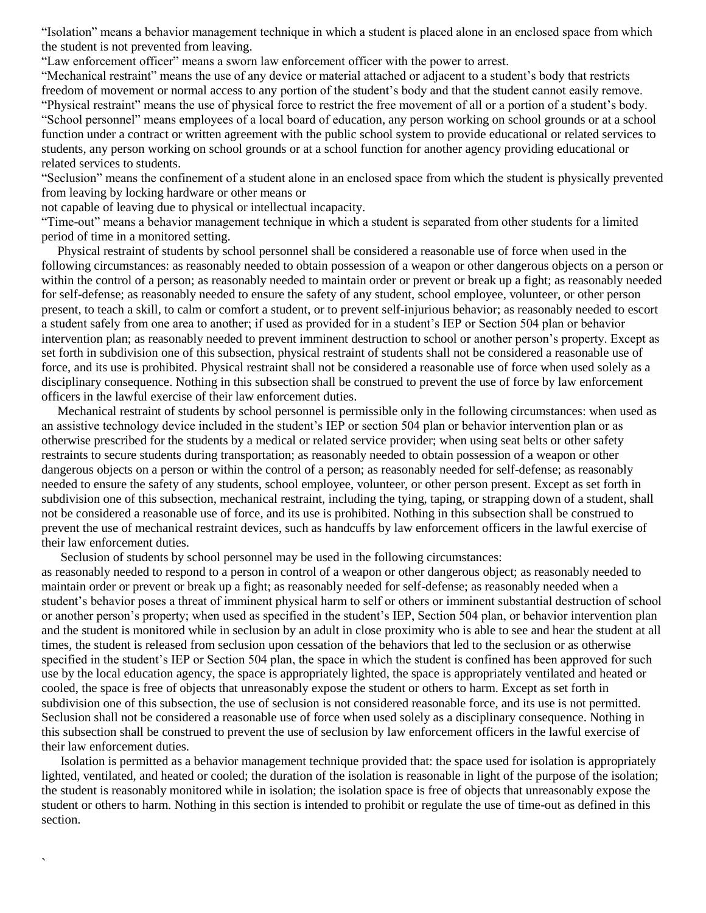"Isolation" means a behavior management technique in which a student is placed alone in an enclosed space from which the student is not prevented from leaving.

"Law enforcement officer" means a sworn law enforcement officer with the power to arrest.

"Mechanical restraint" means the use of any device or material attached or adjacent to a student's body that restricts freedom of movement or normal access to any portion of the student's body and that the student cannot easily remove. "Physical restraint" means the use of physical force to restrict the free movement of all or a portion of a student's body. "School personnel" means employees of a local board of education, any person working on school grounds or at a school function under a contract or written agreement with the public school system to provide educational or related services to students, any person working on school grounds or at a school function for another agency providing educational or related services to students.

"Seclusion" means the confinement of a student alone in an enclosed space from which the student is physically prevented from leaving by locking hardware or other means or

not capable of leaving due to physical or intellectual incapacity.

`

"Time-out" means a behavior management technique in which a student is separated from other students for a limited period of time in a monitored setting.

 Physical restraint of students by school personnel shall be considered a reasonable use of force when used in the following circumstances: as reasonably needed to obtain possession of a weapon or other dangerous objects on a person or within the control of a person; as reasonably needed to maintain order or prevent or break up a fight; as reasonably needed for self-defense; as reasonably needed to ensure the safety of any student, school employee, volunteer, or other person present, to teach a skill, to calm or comfort a student, or to prevent self-injurious behavior; as reasonably needed to escort a student safely from one area to another; if used as provided for in a student's IEP or Section 504 plan or behavior intervention plan; as reasonably needed to prevent imminent destruction to school or another person's property. Except as set forth in subdivision one of this subsection, physical restraint of students shall not be considered a reasonable use of force, and its use is prohibited. Physical restraint shall not be considered a reasonable use of force when used solely as a disciplinary consequence. Nothing in this subsection shall be construed to prevent the use of force by law enforcement officers in the lawful exercise of their law enforcement duties.

 Mechanical restraint of students by school personnel is permissible only in the following circumstances: when used as an assistive technology device included in the student's IEP or section 504 plan or behavior intervention plan or as otherwise prescribed for the students by a medical or related service provider; when using seat belts or other safety restraints to secure students during transportation; as reasonably needed to obtain possession of a weapon or other dangerous objects on a person or within the control of a person; as reasonably needed for self-defense; as reasonably needed to ensure the safety of any students, school employee, volunteer, or other person present. Except as set forth in subdivision one of this subsection, mechanical restraint, including the tying, taping, or strapping down of a student, shall not be considered a reasonable use of force, and its use is prohibited. Nothing in this subsection shall be construed to prevent the use of mechanical restraint devices, such as handcuffs by law enforcement officers in the lawful exercise of their law enforcement duties.

Seclusion of students by school personnel may be used in the following circumstances:

as reasonably needed to respond to a person in control of a weapon or other dangerous object; as reasonably needed to maintain order or prevent or break up a fight; as reasonably needed for self-defense; as reasonably needed when a student's behavior poses a threat of imminent physical harm to self or others or imminent substantial destruction of school or another person's property; when used as specified in the student's IEP, Section 504 plan, or behavior intervention plan and the student is monitored while in seclusion by an adult in close proximity who is able to see and hear the student at all times, the student is released from seclusion upon cessation of the behaviors that led to the seclusion or as otherwise specified in the student's IEP or Section 504 plan, the space in which the student is confined has been approved for such use by the local education agency, the space is appropriately lighted, the space is appropriately ventilated and heated or cooled, the space is free of objects that unreasonably expose the student or others to harm. Except as set forth in subdivision one of this subsection, the use of seclusion is not considered reasonable force, and its use is not permitted. Seclusion shall not be considered a reasonable use of force when used solely as a disciplinary consequence. Nothing in this subsection shall be construed to prevent the use of seclusion by law enforcement officers in the lawful exercise of their law enforcement duties.

 Isolation is permitted as a behavior management technique provided that: the space used for isolation is appropriately lighted, ventilated, and heated or cooled; the duration of the isolation is reasonable in light of the purpose of the isolation; the student is reasonably monitored while in isolation; the isolation space is free of objects that unreasonably expose the student or others to harm. Nothing in this section is intended to prohibit or regulate the use of time-out as defined in this section.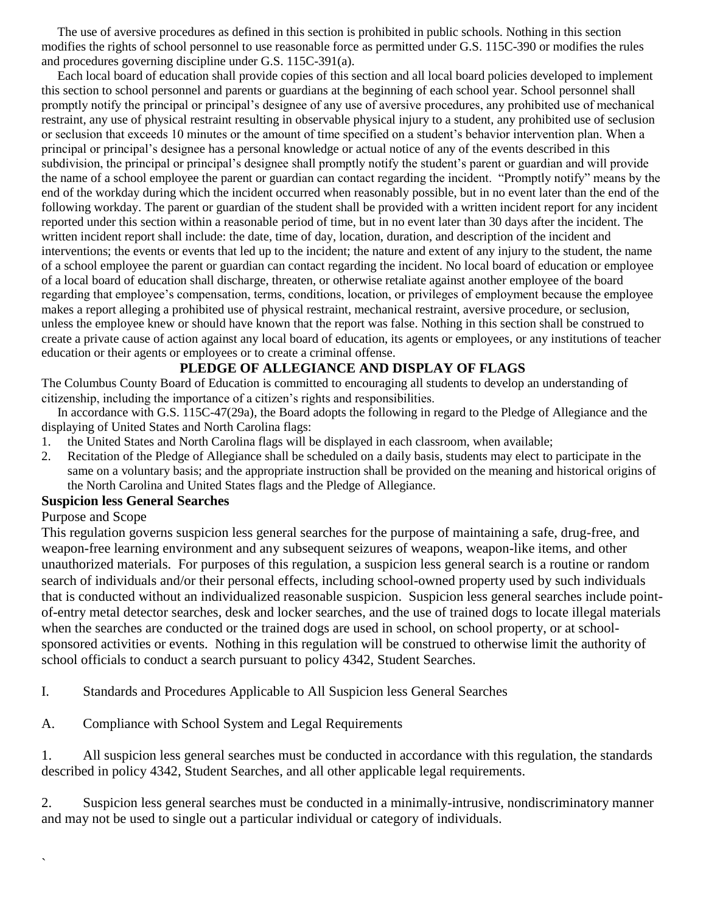The use of aversive procedures as defined in this section is prohibited in public schools. Nothing in this section modifies the rights of school personnel to use reasonable force as permitted under G.S. 115C-390 or modifies the rules and procedures governing discipline under G.S. 115C-391(a).

 Each local board of education shall provide copies of this section and all local board policies developed to implement this section to school personnel and parents or guardians at the beginning of each school year. School personnel shall promptly notify the principal or principal's designee of any use of aversive procedures, any prohibited use of mechanical restraint, any use of physical restraint resulting in observable physical injury to a student, any prohibited use of seclusion or seclusion that exceeds 10 minutes or the amount of time specified on a student's behavior intervention plan. When a principal or principal's designee has a personal knowledge or actual notice of any of the events described in this subdivision, the principal or principal's designee shall promptly notify the student's parent or guardian and will provide the name of a school employee the parent or guardian can contact regarding the incident. "Promptly notify" means by the end of the workday during which the incident occurred when reasonably possible, but in no event later than the end of the following workday. The parent or guardian of the student shall be provided with a written incident report for any incident reported under this section within a reasonable period of time, but in no event later than 30 days after the incident. The written incident report shall include: the date, time of day, location, duration, and description of the incident and interventions; the events or events that led up to the incident; the nature and extent of any injury to the student, the name of a school employee the parent or guardian can contact regarding the incident. No local board of education or employee of a local board of education shall discharge, threaten, or otherwise retaliate against another employee of the board regarding that employee's compensation, terms, conditions, location, or privileges of employment because the employee makes a report alleging a prohibited use of physical restraint, mechanical restraint, aversive procedure, or seclusion, unless the employee knew or should have known that the report was false. Nothing in this section shall be construed to create a private cause of action against any local board of education, its agents or employees, or any institutions of teacher education or their agents or employees or to create a criminal offense.

#### **PLEDGE OF ALLEGIANCE AND DISPLAY OF FLAGS**

The Columbus County Board of Education is committed to encouraging all students to develop an understanding of citizenship, including the importance of a citizen's rights and responsibilities.

 In accordance with G.S. 115C-47(29a), the Board adopts the following in regard to the Pledge of Allegiance and the displaying of United States and North Carolina flags:

- 1. the United States and North Carolina flags will be displayed in each classroom, when available;
- 2. Recitation of the Pledge of Allegiance shall be scheduled on a daily basis, students may elect to participate in the same on a voluntary basis; and the appropriate instruction shall be provided on the meaning and historical origins of the North Carolina and United States flags and the Pledge of Allegiance.

#### **Suspicion less General Searches**

#### Purpose and Scope

 $\overline{\phantom{a}}$ 

This regulation governs suspicion less general searches for the purpose of maintaining a safe, drug-free, and weapon-free learning environment and any subsequent seizures of weapons, weapon-like items, and other unauthorized materials. For purposes of this regulation, a suspicion less general search is a routine or random search of individuals and/or their personal effects, including school-owned property used by such individuals that is conducted without an individualized reasonable suspicion. Suspicion less general searches include pointof-entry metal detector searches, desk and locker searches, and the use of trained dogs to locate illegal materials when the searches are conducted or the trained dogs are used in school, on school property, or at schoolsponsored activities or events. Nothing in this regulation will be construed to otherwise limit the authority of school officials to conduct a search pursuant to policy 4342, Student Searches.

I. Standards and Procedures Applicable to All Suspicion less General Searches

A. Compliance with School System and Legal Requirements

1. All suspicion less general searches must be conducted in accordance with this regulation, the standards described in policy 4342, Student Searches, and all other applicable legal requirements.

2. Suspicion less general searches must be conducted in a minimally-intrusive, nondiscriminatory manner and may not be used to single out a particular individual or category of individuals.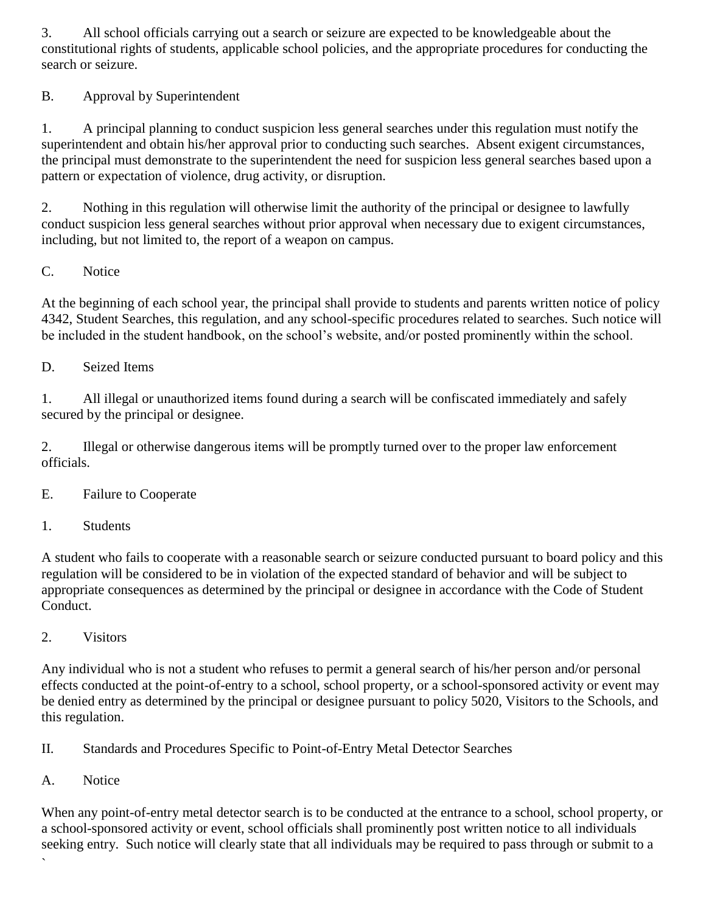3. All school officials carrying out a search or seizure are expected to be knowledgeable about the constitutional rights of students, applicable school policies, and the appropriate procedures for conducting the search or seizure.

B. Approval by Superintendent

1. A principal planning to conduct suspicion less general searches under this regulation must notify the superintendent and obtain his/her approval prior to conducting such searches. Absent exigent circumstances, the principal must demonstrate to the superintendent the need for suspicion less general searches based upon a pattern or expectation of violence, drug activity, or disruption.

2. Nothing in this regulation will otherwise limit the authority of the principal or designee to lawfully conduct suspicion less general searches without prior approval when necessary due to exigent circumstances, including, but not limited to, the report of a weapon on campus.

C. Notice

At the beginning of each school year, the principal shall provide to students and parents written notice of policy 4342, Student Searches, this regulation, and any school-specific procedures related to searches. Such notice will be included in the student handbook, on the school's website, and/or posted prominently within the school.

D. Seized Items

1. All illegal or unauthorized items found during a search will be confiscated immediately and safely secured by the principal or designee.

2. Illegal or otherwise dangerous items will be promptly turned over to the proper law enforcement officials.

E. Failure to Cooperate

1. Students

A student who fails to cooperate with a reasonable search or seizure conducted pursuant to board policy and this regulation will be considered to be in violation of the expected standard of behavior and will be subject to appropriate consequences as determined by the principal or designee in accordance with the Code of Student Conduct.

2. Visitors

Any individual who is not a student who refuses to permit a general search of his/her person and/or personal effects conducted at the point-of-entry to a school, school property, or a school-sponsored activity or event may be denied entry as determined by the principal or designee pursuant to policy 5020, Visitors to the Schools, and this regulation.

II. Standards and Procedures Specific to Point-of-Entry Metal Detector Searches

A. Notice

`

When any point-of-entry metal detector search is to be conducted at the entrance to a school, school property, or a school-sponsored activity or event, school officials shall prominently post written notice to all individuals seeking entry. Such notice will clearly state that all individuals may be required to pass through or submit to a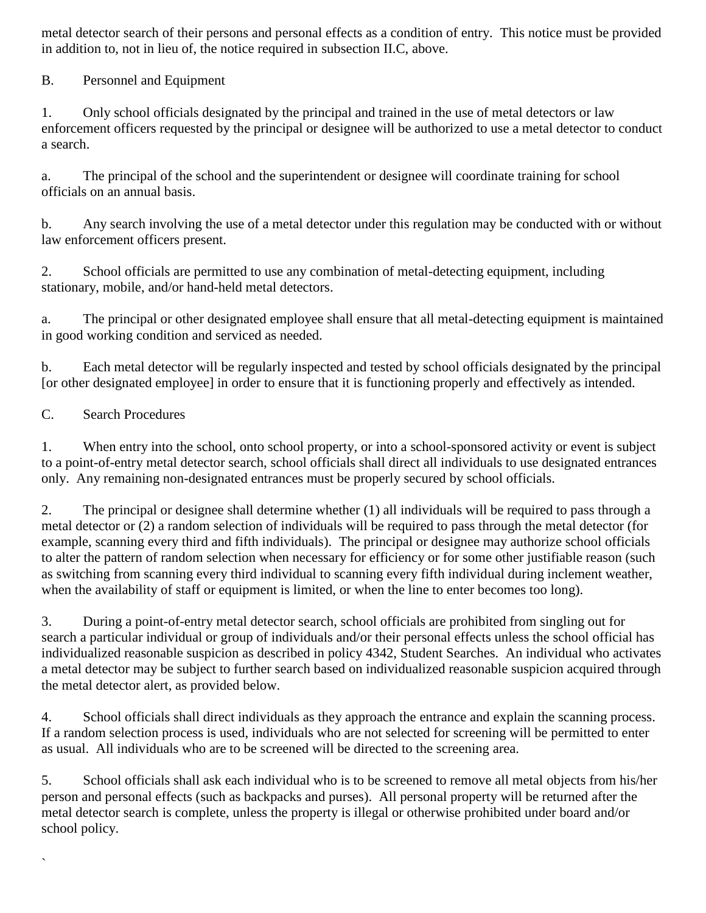metal detector search of their persons and personal effects as a condition of entry. This notice must be provided in addition to, not in lieu of, the notice required in subsection II.C, above.

B. Personnel and Equipment

1. Only school officials designated by the principal and trained in the use of metal detectors or law enforcement officers requested by the principal or designee will be authorized to use a metal detector to conduct a search.

a. The principal of the school and the superintendent or designee will coordinate training for school officials on an annual basis.

b. Any search involving the use of a metal detector under this regulation may be conducted with or without law enforcement officers present.

2. School officials are permitted to use any combination of metal-detecting equipment, including stationary, mobile, and/or hand-held metal detectors.

a. The principal or other designated employee shall ensure that all metal-detecting equipment is maintained in good working condition and serviced as needed.

b. Each metal detector will be regularly inspected and tested by school officials designated by the principal [or other designated employee] in order to ensure that it is functioning properly and effectively as intended.

## C. Search Procedures

 $\overline{\phantom{a}}$ 

1. When entry into the school, onto school property, or into a school-sponsored activity or event is subject to a point-of-entry metal detector search, school officials shall direct all individuals to use designated entrances only. Any remaining non-designated entrances must be properly secured by school officials.

2. The principal or designee shall determine whether (1) all individuals will be required to pass through a metal detector or (2) a random selection of individuals will be required to pass through the metal detector (for example, scanning every third and fifth individuals). The principal or designee may authorize school officials to alter the pattern of random selection when necessary for efficiency or for some other justifiable reason (such as switching from scanning every third individual to scanning every fifth individual during inclement weather, when the availability of staff or equipment is limited, or when the line to enter becomes too long).

3. During a point-of-entry metal detector search, school officials are prohibited from singling out for search a particular individual or group of individuals and/or their personal effects unless the school official has individualized reasonable suspicion as described in policy 4342, Student Searches. An individual who activates a metal detector may be subject to further search based on individualized reasonable suspicion acquired through the metal detector alert, as provided below.

4. School officials shall direct individuals as they approach the entrance and explain the scanning process. If a random selection process is used, individuals who are not selected for screening will be permitted to enter as usual. All individuals who are to be screened will be directed to the screening area.

5. School officials shall ask each individual who is to be screened to remove all metal objects from his/her person and personal effects (such as backpacks and purses). All personal property will be returned after the metal detector search is complete, unless the property is illegal or otherwise prohibited under board and/or school policy.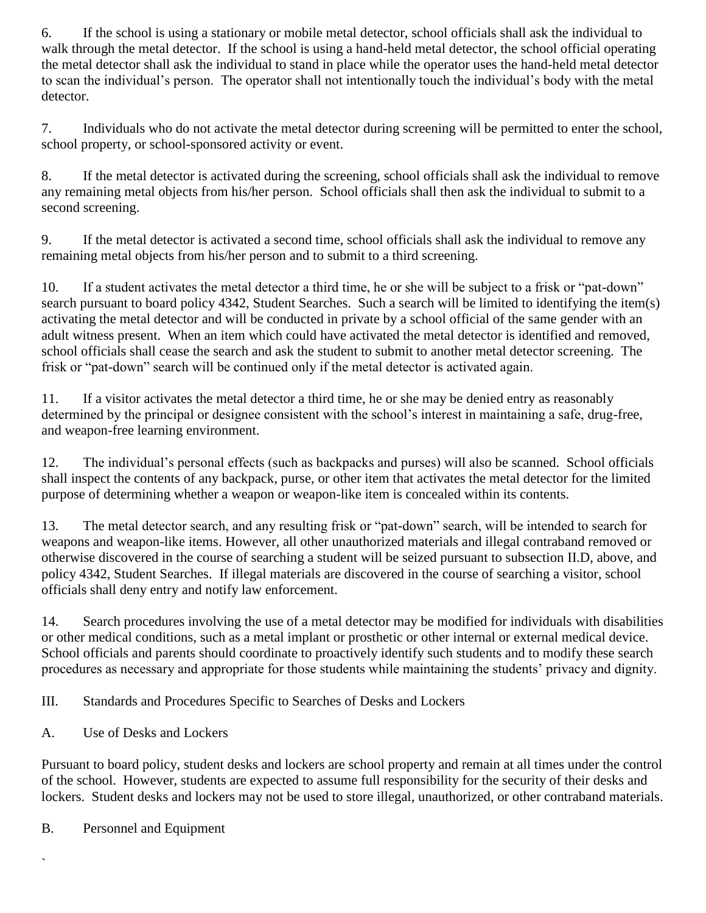6. If the school is using a stationary or mobile metal detector, school officials shall ask the individual to walk through the metal detector. If the school is using a hand-held metal detector, the school official operating the metal detector shall ask the individual to stand in place while the operator uses the hand-held metal detector to scan the individual's person. The operator shall not intentionally touch the individual's body with the metal detector.

7. Individuals who do not activate the metal detector during screening will be permitted to enter the school, school property, or school-sponsored activity or event.

8. If the metal detector is activated during the screening, school officials shall ask the individual to remove any remaining metal objects from his/her person. School officials shall then ask the individual to submit to a second screening.

9. If the metal detector is activated a second time, school officials shall ask the individual to remove any remaining metal objects from his/her person and to submit to a third screening.

10. If a student activates the metal detector a third time, he or she will be subject to a frisk or "pat-down" search pursuant to board policy 4342, Student Searches. Such a search will be limited to identifying the item(s) activating the metal detector and will be conducted in private by a school official of the same gender with an adult witness present. When an item which could have activated the metal detector is identified and removed, school officials shall cease the search and ask the student to submit to another metal detector screening. The frisk or "pat-down" search will be continued only if the metal detector is activated again.

11. If a visitor activates the metal detector a third time, he or she may be denied entry as reasonably determined by the principal or designee consistent with the school's interest in maintaining a safe, drug-free, and weapon-free learning environment.

12. The individual's personal effects (such as backpacks and purses) will also be scanned. School officials shall inspect the contents of any backpack, purse, or other item that activates the metal detector for the limited purpose of determining whether a weapon or weapon-like item is concealed within its contents.

13. The metal detector search, and any resulting frisk or "pat-down" search, will be intended to search for weapons and weapon-like items. However, all other unauthorized materials and illegal contraband removed or otherwise discovered in the course of searching a student will be seized pursuant to subsection II.D, above, and policy 4342, Student Searches. If illegal materials are discovered in the course of searching a visitor, school officials shall deny entry and notify law enforcement.

14. Search procedures involving the use of a metal detector may be modified for individuals with disabilities or other medical conditions, such as a metal implant or prosthetic or other internal or external medical device. School officials and parents should coordinate to proactively identify such students and to modify these search procedures as necessary and appropriate for those students while maintaining the students' privacy and dignity.

III. Standards and Procedures Specific to Searches of Desks and Lockers

A. Use of Desks and Lockers

Pursuant to board policy, student desks and lockers are school property and remain at all times under the control of the school. However, students are expected to assume full responsibility for the security of their desks and lockers. Student desks and lockers may not be used to store illegal, unauthorized, or other contraband materials.

B. Personnel and Equipment

 $\overline{\phantom{a}}$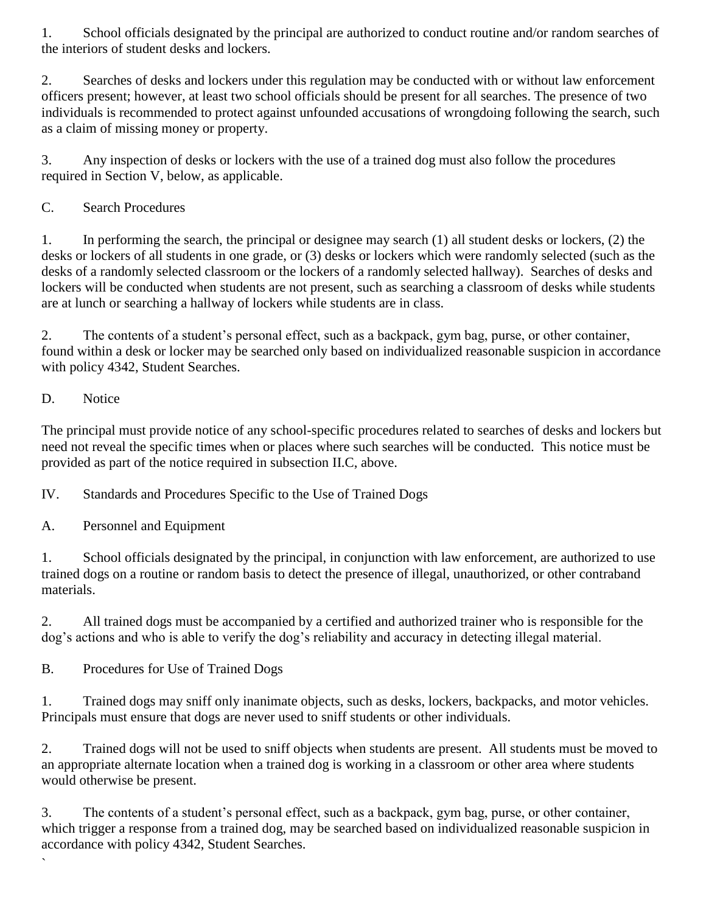1. School officials designated by the principal are authorized to conduct routine and/or random searches of the interiors of student desks and lockers.

2. Searches of desks and lockers under this regulation may be conducted with or without law enforcement officers present; however, at least two school officials should be present for all searches. The presence of two individuals is recommended to protect against unfounded accusations of wrongdoing following the search, such as a claim of missing money or property.

3. Any inspection of desks or lockers with the use of a trained dog must also follow the procedures required in Section V, below, as applicable.

## C. Search Procedures

1. In performing the search, the principal or designee may search (1) all student desks or lockers, (2) the desks or lockers of all students in one grade, or (3) desks or lockers which were randomly selected (such as the desks of a randomly selected classroom or the lockers of a randomly selected hallway). Searches of desks and lockers will be conducted when students are not present, such as searching a classroom of desks while students are at lunch or searching a hallway of lockers while students are in class.

2. The contents of a student's personal effect, such as a backpack, gym bag, purse, or other container, found within a desk or locker may be searched only based on individualized reasonable suspicion in accordance with policy 4342, Student Searches.

## D. Notice

`

The principal must provide notice of any school-specific procedures related to searches of desks and lockers but need not reveal the specific times when or places where such searches will be conducted. This notice must be provided as part of the notice required in subsection II.C, above.

IV. Standards and Procedures Specific to the Use of Trained Dogs

A. Personnel and Equipment

1. School officials designated by the principal, in conjunction with law enforcement, are authorized to use trained dogs on a routine or random basis to detect the presence of illegal, unauthorized, or other contraband materials.

2. All trained dogs must be accompanied by a certified and authorized trainer who is responsible for the dog's actions and who is able to verify the dog's reliability and accuracy in detecting illegal material.

B. Procedures for Use of Trained Dogs

1. Trained dogs may sniff only inanimate objects, such as desks, lockers, backpacks, and motor vehicles. Principals must ensure that dogs are never used to sniff students or other individuals.

2. Trained dogs will not be used to sniff objects when students are present. All students must be moved to an appropriate alternate location when a trained dog is working in a classroom or other area where students would otherwise be present.

3. The contents of a student's personal effect, such as a backpack, gym bag, purse, or other container, which trigger a response from a trained dog, may be searched based on individualized reasonable suspicion in accordance with policy 4342, Student Searches.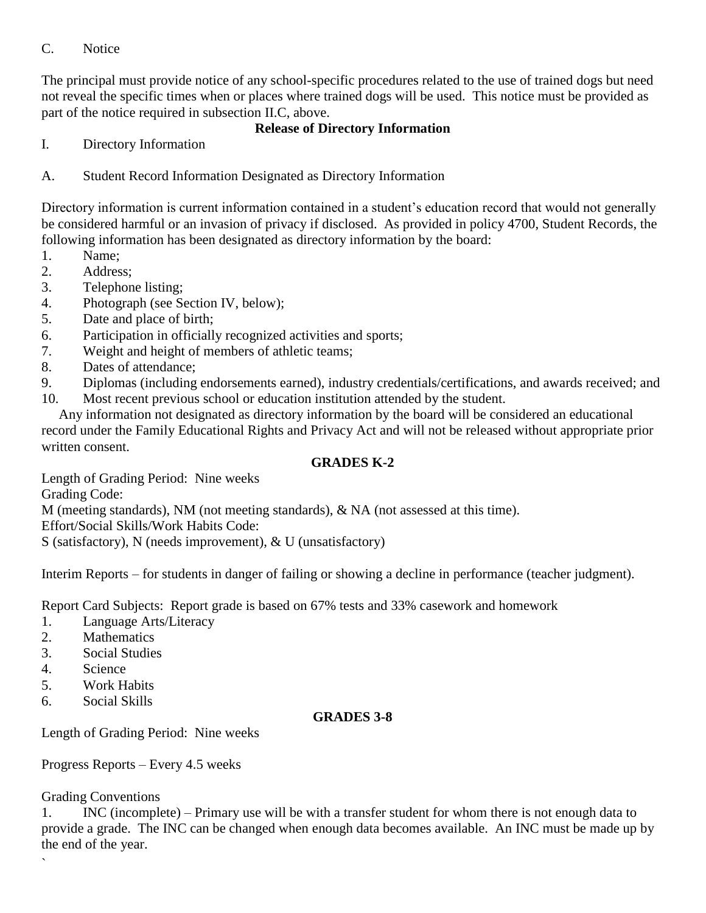#### C. Notice

The principal must provide notice of any school-specific procedures related to the use of trained dogs but need not reveal the specific times when or places where trained dogs will be used. This notice must be provided as part of the notice required in subsection II.C, above.

#### **Release of Directory Information**

- I. Directory Information
- A. Student Record Information Designated as Directory Information

Directory information is current information contained in a student's education record that would not generally be considered harmful or an invasion of privacy if disclosed. As provided in policy 4700, Student Records, the following information has been designated as directory information by the board:

- 1. Name;
- 2. Address;
- 3. Telephone listing;
- 4. Photograph (see Section IV, below);
- 5. Date and place of birth;
- 6. Participation in officially recognized activities and sports;
- 7. Weight and height of members of athletic teams;
- 8. Dates of attendance;
- 9. Diplomas (including endorsements earned), industry credentials/certifications, and awards received; and
- 10. Most recent previous school or education institution attended by the student.

 Any information not designated as directory information by the board will be considered an educational record under the Family Educational Rights and Privacy Act and will not be released without appropriate prior written consent.

#### **GRADES K-2**

Length of Grading Period: Nine weeks Grading Code: M (meeting standards), NM (not meeting standards), & NA (not assessed at this time). Effort/Social Skills/Work Habits Code:

S (satisfactory), N (needs improvement), & U (unsatisfactory)

Interim Reports – for students in danger of failing or showing a decline in performance (teacher judgment).

Report Card Subjects: Report grade is based on 67% tests and 33% casework and homework

- 1. Language Arts/Literacy
- 2. Mathematics
- 3. Social Studies
- 4. Science
- 5. Work Habits
- 6. Social Skills

#### **GRADES 3-8**

Length of Grading Period: Nine weeks

Progress Reports – Every 4.5 weeks

#### Grading Conventions

`

1. INC (incomplete) – Primary use will be with a transfer student for whom there is not enough data to provide a grade. The INC can be changed when enough data becomes available. An INC must be made up by the end of the year.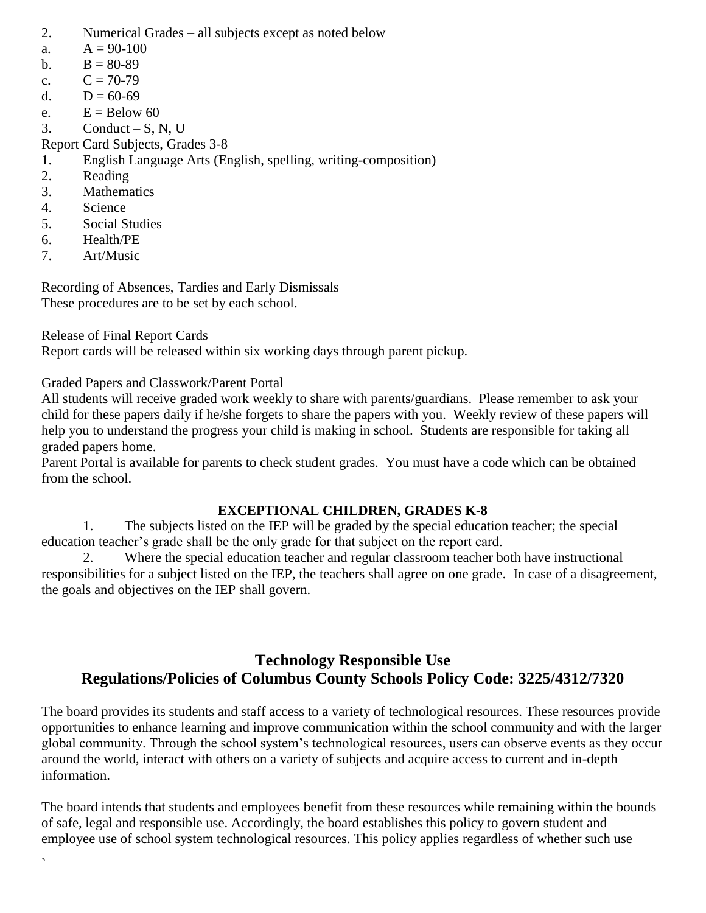- 2. Numerical Grades all subjects except as noted below
- a.  $A = 90-100$
- b.  $B = 80-89$
- c.  $C = 70-79$
- d.  $D = 60-69$
- e.  $E =$ Below 60
- $3.$  Conduct S, N, U
- Report Card Subjects, Grades 3-8
- 1. English Language Arts (English, spelling, writing-composition)
- 2. Reading
- 3. Mathematics
- 4. Science
- 5. Social Studies
- 6. Health/PE
- 7. Art/Music

`

Recording of Absences, Tardies and Early Dismissals These procedures are to be set by each school.

Release of Final Report Cards

Report cards will be released within six working days through parent pickup.

Graded Papers and Classwork/Parent Portal

All students will receive graded work weekly to share with parents/guardians. Please remember to ask your child for these papers daily if he/she forgets to share the papers with you. Weekly review of these papers will help you to understand the progress your child is making in school. Students are responsible for taking all graded papers home.

Parent Portal is available for parents to check student grades. You must have a code which can be obtained from the school.

## **EXCEPTIONAL CHILDREN, GRADES K-8**

1. The subjects listed on the IEP will be graded by the special education teacher; the special education teacher's grade shall be the only grade for that subject on the report card.

2. Where the special education teacher and regular classroom teacher both have instructional responsibilities for a subject listed on the IEP, the teachers shall agree on one grade. In case of a disagreement, the goals and objectives on the IEP shall govern.

## **Technology Responsible Use Regulations/Policies of Columbus County Schools Policy Code: 3225/4312/7320**

The board provides its students and staff access to a variety of technological resources. These resources provide opportunities to enhance learning and improve communication within the school community and with the larger global community. Through the school system's technological resources, users can observe events as they occur around the world, interact with others on a variety of subjects and acquire access to current and in-depth information.

The board intends that students and employees benefit from these resources while remaining within the bounds of safe, legal and responsible use. Accordingly, the board establishes this policy to govern student and employee use of school system technological resources. This policy applies regardless of whether such use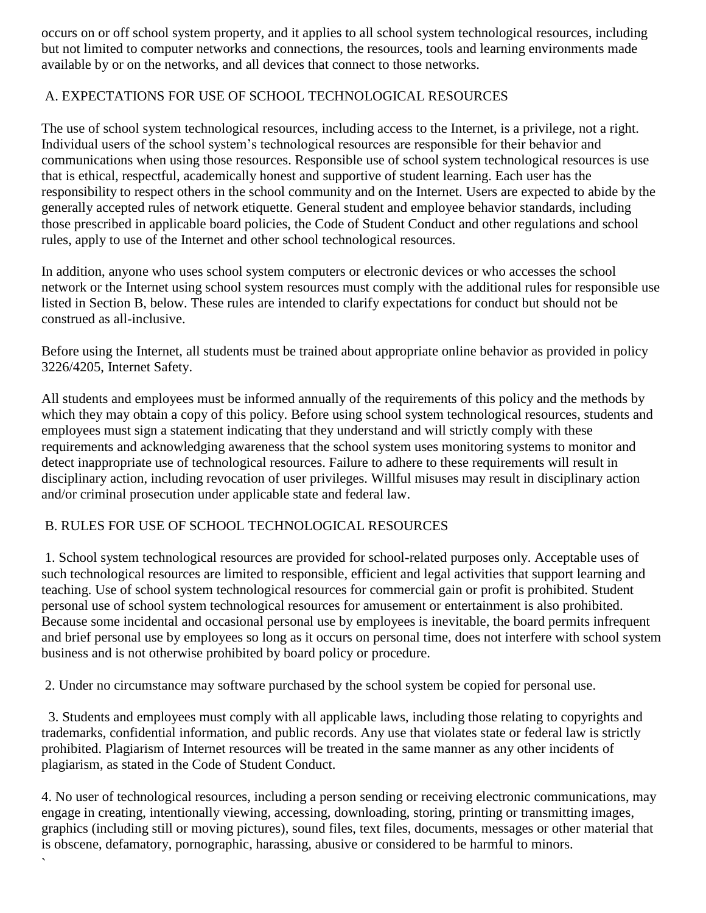occurs on or off school system property, and it applies to all school system technological resources, including but not limited to computer networks and connections, the resources, tools and learning environments made available by or on the networks, and all devices that connect to those networks.

## A. EXPECTATIONS FOR USE OF SCHOOL TECHNOLOGICAL RESOURCES

The use of school system technological resources, including access to the Internet, is a privilege, not a right. Individual users of the school system's technological resources are responsible for their behavior and communications when using those resources. Responsible use of school system technological resources is use that is ethical, respectful, academically honest and supportive of student learning. Each user has the responsibility to respect others in the school community and on the Internet. Users are expected to abide by the generally accepted rules of network etiquette. General student and employee behavior standards, including those prescribed in applicable board policies, the Code of Student Conduct and other regulations and school rules, apply to use of the Internet and other school technological resources.

In addition, anyone who uses school system computers or electronic devices or who accesses the school network or the Internet using school system resources must comply with the additional rules for responsible use listed in Section B, below. These rules are intended to clarify expectations for conduct but should not be construed as all-inclusive.

Before using the Internet, all students must be trained about appropriate online behavior as provided in policy 3226/4205, Internet Safety.

All students and employees must be informed annually of the requirements of this policy and the methods by which they may obtain a copy of this policy. Before using school system technological resources, students and employees must sign a statement indicating that they understand and will strictly comply with these requirements and acknowledging awareness that the school system uses monitoring systems to monitor and detect inappropriate use of technological resources. Failure to adhere to these requirements will result in disciplinary action, including revocation of user privileges. Willful misuses may result in disciplinary action and/or criminal prosecution under applicable state and federal law.

## B. RULES FOR USE OF SCHOOL TECHNOLOGICAL RESOURCES

`

1. School system technological resources are provided for school-related purposes only. Acceptable uses of such technological resources are limited to responsible, efficient and legal activities that support learning and teaching. Use of school system technological resources for commercial gain or profit is prohibited. Student personal use of school system technological resources for amusement or entertainment is also prohibited. Because some incidental and occasional personal use by employees is inevitable, the board permits infrequent and brief personal use by employees so long as it occurs on personal time, does not interfere with school system business and is not otherwise prohibited by board policy or procedure.

2. Under no circumstance may software purchased by the school system be copied for personal use.

 3. Students and employees must comply with all applicable laws, including those relating to copyrights and trademarks, confidential information, and public records. Any use that violates state or federal law is strictly prohibited. Plagiarism of Internet resources will be treated in the same manner as any other incidents of plagiarism, as stated in the Code of Student Conduct.

4. No user of technological resources, including a person sending or receiving electronic communications, may engage in creating, intentionally viewing, accessing, downloading, storing, printing or transmitting images, graphics (including still or moving pictures), sound files, text files, documents, messages or other material that is obscene, defamatory, pornographic, harassing, abusive or considered to be harmful to minors.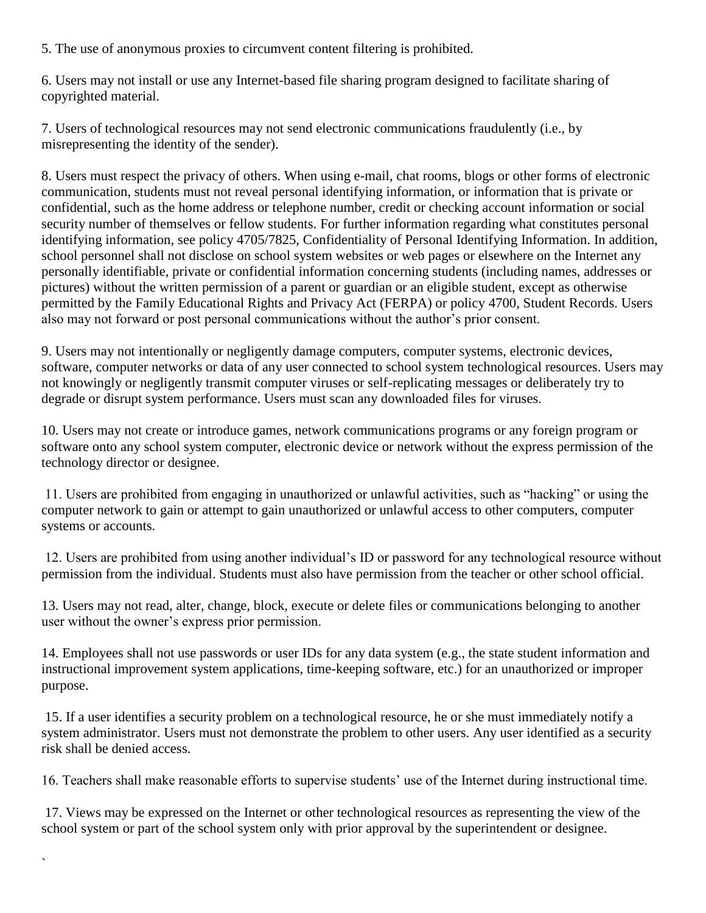5. The use of anonymous proxies to circumvent content filtering is prohibited.

6. Users may not install or use any Internet-based file sharing program designed to facilitate sharing of copyrighted material.

7. Users of technological resources may not send electronic communications fraudulently (i.e., by misrepresenting the identity of the sender).

8. Users must respect the privacy of others. When using e-mail, chat rooms, blogs or other forms of electronic communication, students must not reveal personal identifying information, or information that is private or confidential, such as the home address or telephone number, credit or checking account information or social security number of themselves or fellow students. For further information regarding what constitutes personal identifying information, see policy 4705/7825, Confidentiality of Personal Identifying Information. In addition, school personnel shall not disclose on school system websites or web pages or elsewhere on the Internet any personally identifiable, private or confidential information concerning students (including names, addresses or pictures) without the written permission of a parent or guardian or an eligible student, except as otherwise permitted by the Family Educational Rights and Privacy Act (FERPA) or policy 4700, Student Records. Users also may not forward or post personal communications without the author's prior consent.

9. Users may not intentionally or negligently damage computers, computer systems, electronic devices, software, computer networks or data of any user connected to school system technological resources. Users may not knowingly or negligently transmit computer viruses or self-replicating messages or deliberately try to degrade or disrupt system performance. Users must scan any downloaded files for viruses.

10. Users may not create or introduce games, network communications programs or any foreign program or software onto any school system computer, electronic device or network without the express permission of the technology director or designee.

11. Users are prohibited from engaging in unauthorized or unlawful activities, such as "hacking" or using the computer network to gain or attempt to gain unauthorized or unlawful access to other computers, computer systems or accounts.

12. Users are prohibited from using another individual's ID or password for any technological resource without permission from the individual. Students must also have permission from the teacher or other school official.

13. Users may not read, alter, change, block, execute or delete files or communications belonging to another user without the owner's express prior permission.

14. Employees shall not use passwords or user IDs for any data system (e.g., the state student information and instructional improvement system applications, time-keeping software, etc.) for an unauthorized or improper purpose.

15. If a user identifies a security problem on a technological resource, he or she must immediately notify a system administrator. Users must not demonstrate the problem to other users. Any user identified as a security risk shall be denied access.

16. Teachers shall make reasonable efforts to supervise students' use of the Internet during instructional time.

17. Views may be expressed on the Internet or other technological resources as representing the view of the school system or part of the school system only with prior approval by the superintendent or designee.

`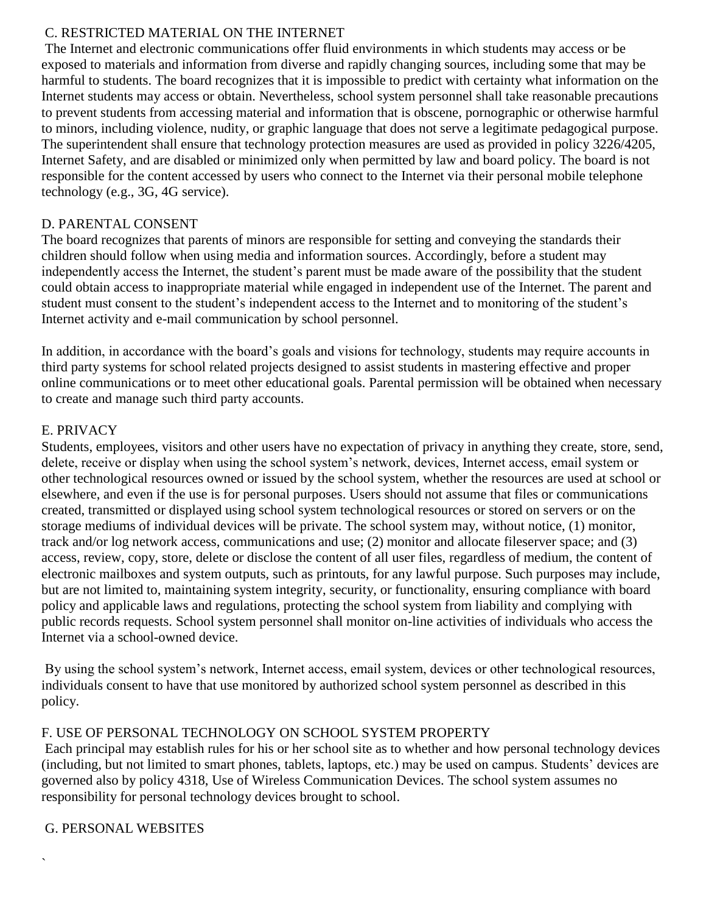#### C. RESTRICTED MATERIAL ON THE INTERNET

The Internet and electronic communications offer fluid environments in which students may access or be exposed to materials and information from diverse and rapidly changing sources, including some that may be harmful to students. The board recognizes that it is impossible to predict with certainty what information on the Internet students may access or obtain. Nevertheless, school system personnel shall take reasonable precautions to prevent students from accessing material and information that is obscene, pornographic or otherwise harmful to minors, including violence, nudity, or graphic language that does not serve a legitimate pedagogical purpose. The superintendent shall ensure that technology protection measures are used as provided in policy 3226/4205, Internet Safety, and are disabled or minimized only when permitted by law and board policy. The board is not responsible for the content accessed by users who connect to the Internet via their personal mobile telephone technology (e.g., 3G, 4G service).

### D. PARENTAL CONSENT

The board recognizes that parents of minors are responsible for setting and conveying the standards their children should follow when using media and information sources. Accordingly, before a student may independently access the Internet, the student's parent must be made aware of the possibility that the student could obtain access to inappropriate material while engaged in independent use of the Internet. The parent and student must consent to the student's independent access to the Internet and to monitoring of the student's Internet activity and e-mail communication by school personnel.

In addition, in accordance with the board's goals and visions for technology, students may require accounts in third party systems for school related projects designed to assist students in mastering effective and proper online communications or to meet other educational goals. Parental permission will be obtained when necessary to create and manage such third party accounts.

#### E. PRIVACY

Students, employees, visitors and other users have no expectation of privacy in anything they create, store, send, delete, receive or display when using the school system's network, devices, Internet access, email system or other technological resources owned or issued by the school system, whether the resources are used at school or elsewhere, and even if the use is for personal purposes. Users should not assume that files or communications created, transmitted or displayed using school system technological resources or stored on servers or on the storage mediums of individual devices will be private. The school system may, without notice, (1) monitor, track and/or log network access, communications and use; (2) monitor and allocate fileserver space; and (3) access, review, copy, store, delete or disclose the content of all user files, regardless of medium, the content of electronic mailboxes and system outputs, such as printouts, for any lawful purpose. Such purposes may include, but are not limited to, maintaining system integrity, security, or functionality, ensuring compliance with board policy and applicable laws and regulations, protecting the school system from liability and complying with public records requests. School system personnel shall monitor on-line activities of individuals who access the Internet via a school-owned device.

By using the school system's network, Internet access, email system, devices or other technological resources, individuals consent to have that use monitored by authorized school system personnel as described in this policy.

## F. USE OF PERSONAL TECHNOLOGY ON SCHOOL SYSTEM PROPERTY

Each principal may establish rules for his or her school site as to whether and how personal technology devices (including, but not limited to smart phones, tablets, laptops, etc.) may be used on campus. Students' devices are governed also by policy 4318, Use of Wireless Communication Devices. The school system assumes no responsibility for personal technology devices brought to school.

#### G. PERSONAL WEBSITES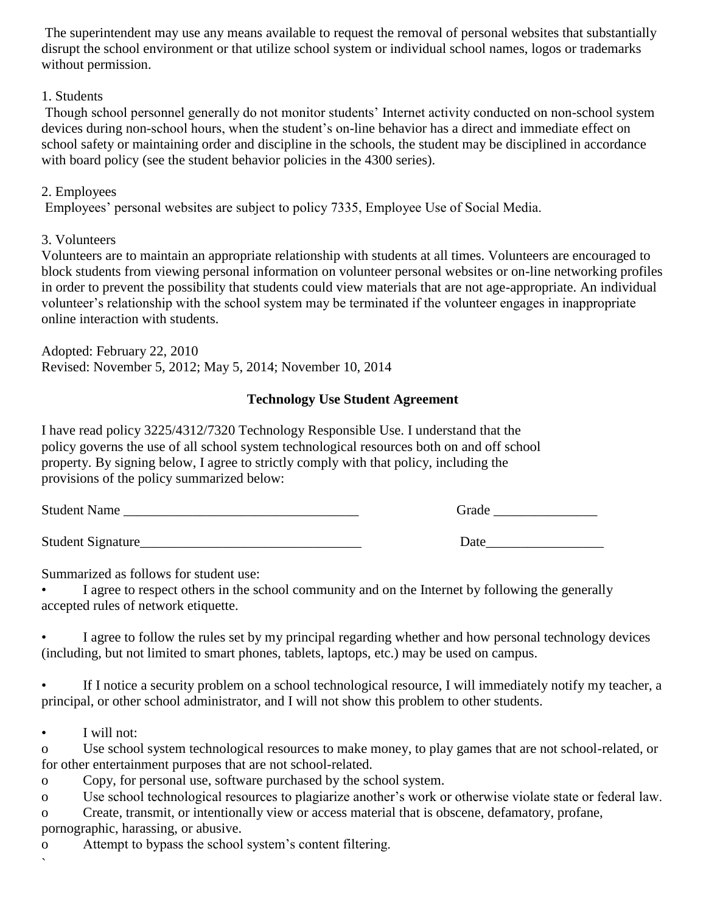The superintendent may use any means available to request the removal of personal websites that substantially disrupt the school environment or that utilize school system or individual school names, logos or trademarks without permission.

#### 1. Students

Though school personnel generally do not monitor students' Internet activity conducted on non-school system devices during non-school hours, when the student's on-line behavior has a direct and immediate effect on school safety or maintaining order and discipline in the schools, the student may be disciplined in accordance with board policy (see the student behavior policies in the 4300 series).

#### 2. Employees

Employees' personal websites are subject to policy 7335, Employee Use of Social Media.

#### 3. Volunteers

Volunteers are to maintain an appropriate relationship with students at all times. Volunteers are encouraged to block students from viewing personal information on volunteer personal websites or on-line networking profiles in order to prevent the possibility that students could view materials that are not age-appropriate. An individual volunteer's relationship with the school system may be terminated if the volunteer engages in inappropriate online interaction with students.

Adopted: February 22, 2010 Revised: November 5, 2012; May 5, 2014; November 10, 2014

## **Technology Use Student Agreement**

I have read policy 3225/4312/7320 Technology Responsible Use. I understand that the policy governs the use of all school system technological resources both on and off school property. By signing below, I agree to strictly comply with that policy, including the provisions of the policy summarized below:

| Student<br>•мание. |  |  |
|--------------------|--|--|
|                    |  |  |

Student Signature\_\_\_\_\_\_\_\_\_\_\_\_\_\_\_\_\_\_\_\_\_\_\_\_\_\_\_\_\_\_\_\_ Date\_\_\_\_\_\_\_\_\_\_\_\_\_\_\_\_\_

Summarized as follows for student use:

I agree to respect others in the school community and on the Internet by following the generally accepted rules of network etiquette.

• I agree to follow the rules set by my principal regarding whether and how personal technology devices (including, but not limited to smart phones, tablets, laptops, etc.) may be used on campus.

• If I notice a security problem on a school technological resource, I will immediately notify my teacher, a principal, or other school administrator, and I will not show this problem to other students.

• I will not:

o Use school system technological resources to make money, to play games that are not school-related, or for other entertainment purposes that are not school-related.

o Copy, for personal use, software purchased by the school system.

o Use school technological resources to plagiarize another's work or otherwise violate state or federal law.

o Create, transmit, or intentionally view or access material that is obscene, defamatory, profane, pornographic, harassing, or abusive.

o Attempt to bypass the school system's content filtering.

 $\overline{\phantom{a}}$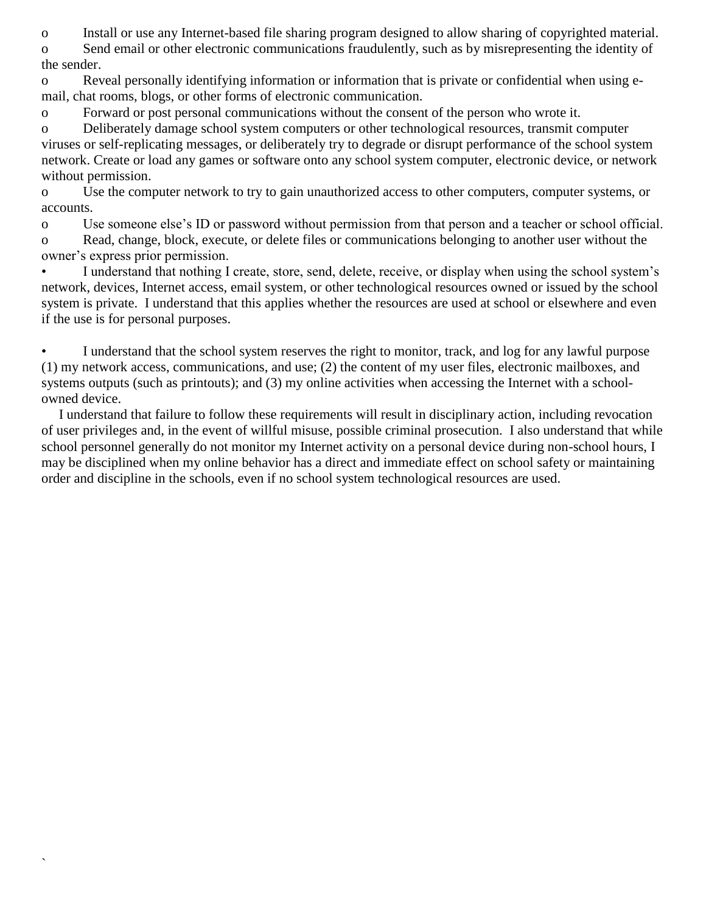o Install or use any Internet-based file sharing program designed to allow sharing of copyrighted material.

o Send email or other electronic communications fraudulently, such as by misrepresenting the identity of the sender.

o Reveal personally identifying information or information that is private or confidential when using email, chat rooms, blogs, or other forms of electronic communication.

o Forward or post personal communications without the consent of the person who wrote it.

o Deliberately damage school system computers or other technological resources, transmit computer viruses or self-replicating messages, or deliberately try to degrade or disrupt performance of the school system network. Create or load any games or software onto any school system computer, electronic device, or network without permission.

o Use the computer network to try to gain unauthorized access to other computers, computer systems, or accounts.

o Use someone else's ID or password without permission from that person and a teacher or school official.

o Read, change, block, execute, or delete files or communications belonging to another user without the owner's express prior permission.

• I understand that nothing I create, store, send, delete, receive, or display when using the school system's network, devices, Internet access, email system, or other technological resources owned or issued by the school system is private. I understand that this applies whether the resources are used at school or elsewhere and even if the use is for personal purposes.

• I understand that the school system reserves the right to monitor, track, and log for any lawful purpose (1) my network access, communications, and use; (2) the content of my user files, electronic mailboxes, and systems outputs (such as printouts); and (3) my online activities when accessing the Internet with a schoolowned device.

 I understand that failure to follow these requirements will result in disciplinary action, including revocation of user privileges and, in the event of willful misuse, possible criminal prosecution. I also understand that while school personnel generally do not monitor my Internet activity on a personal device during non-school hours, I may be disciplined when my online behavior has a direct and immediate effect on school safety or maintaining order and discipline in the schools, even if no school system technological resources are used.

`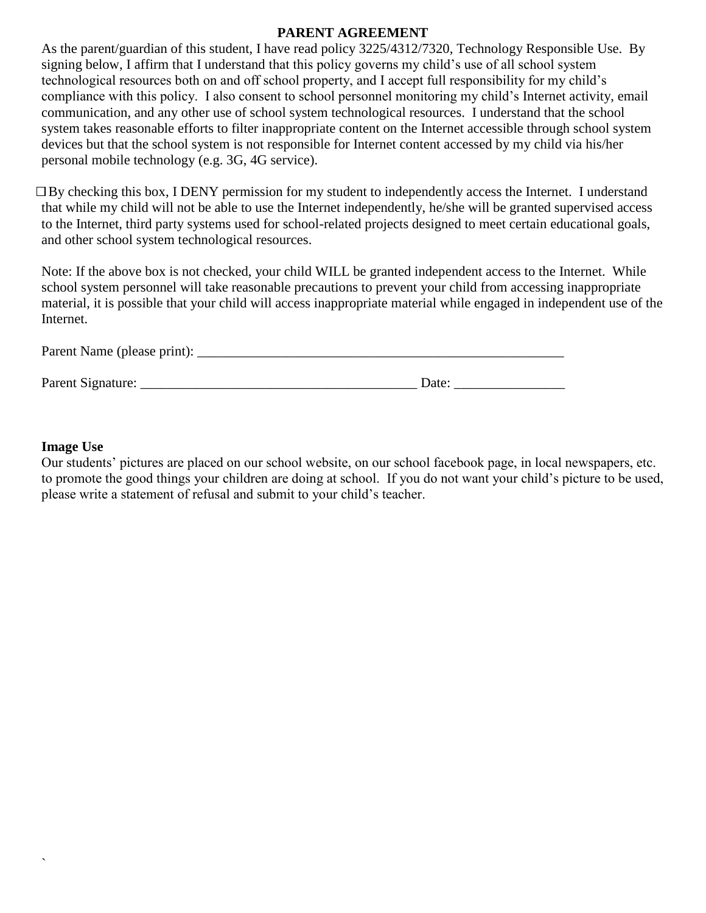#### **PARENT AGREEMENT**

As the parent/guardian of this student, I have read policy 3225/4312/7320, Technology Responsible Use. By signing below, I affirm that I understand that this policy governs my child's use of all school system technological resources both on and off school property, and I accept full responsibility for my child's compliance with this policy. I also consent to school personnel monitoring my child's Internet activity, email communication, and any other use of school system technological resources. I understand that the school system takes reasonable efforts to filter inappropriate content on the Internet accessible through school system devices but that the school system is not responsible for Internet content accessed by my child via his/her personal mobile technology (e.g. 3G, 4G service).

 $\Box$  By checking this box, I DENY permission for my student to independently access the Internet. I understand that while my child will not be able to use the Internet independently, he/she will be granted supervised access to the Internet, third party systems used for school-related projects designed to meet certain educational goals, and other school system technological resources.

Note: If the above box is not checked, your child WILL be granted independent access to the Internet. While school system personnel will take reasonable precautions to prevent your child from accessing inappropriate material, it is possible that your child will access inappropriate material while engaged in independent use of the Internet.

| Parent Name (please print): |       |
|-----------------------------|-------|
| Parent Signature:           | Date: |

#### **Image Use**

`

Our students' pictures are placed on our school website, on our school facebook page, in local newspapers, etc. to promote the good things your children are doing at school. If you do not want your child's picture to be used, please write a statement of refusal and submit to your child's teacher.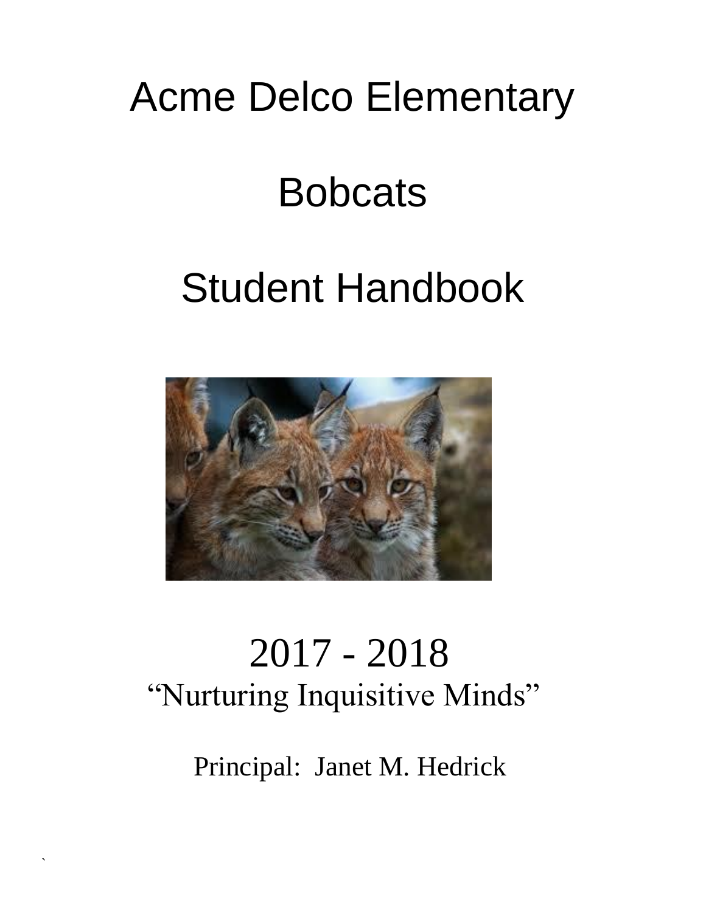## Acme Delco Elementary

## **Bobcats**

# Student Handbook



## 2017 - 2018 "Nurturing Inquisitive Minds"

Principal: Janet M. Hedrick

`